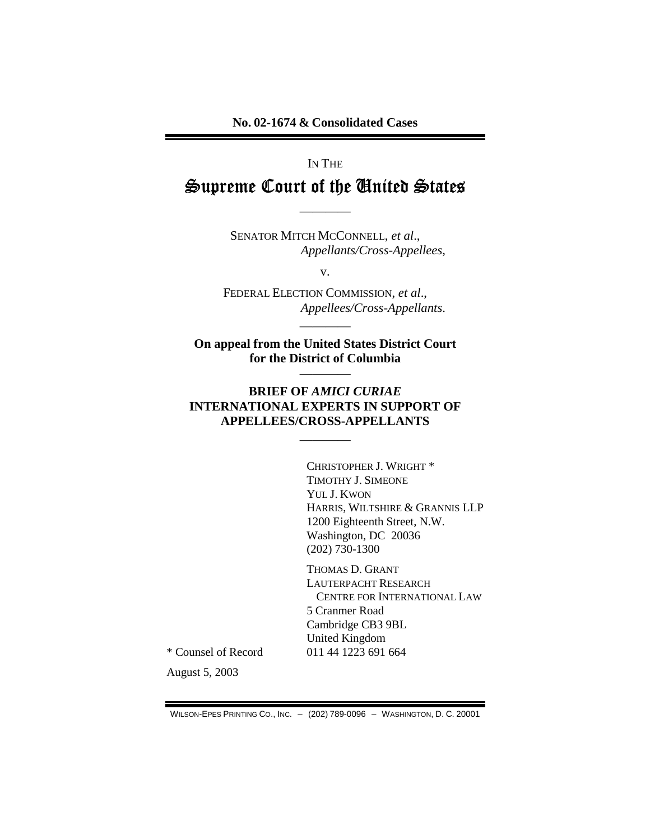#### IN THE

# Supreme Court of the United States

SENATOR MITCH MCCONNELL, et al., Appellants/Cross-Appellees,

 $V_{\bullet}$ 

FEDERAL ELECTION COMMISSION, et al., Appellees/Cross-Appellants.

On appeal from the United States District Court for the District of Columbia

### **BRIEF OF AMICI CURIAE INTERNATIONAL EXPERTS IN SUPPORT OF APPELLEES/CROSS-APPELLANTS**

CHRISTOPHER J. WRIGHT \* TIMOTHY J. SIMEONE YUL J. KWON HARRIS, WILTSHIRE & GRANNIS LLP 1200 Eighteenth Street, N.W. Washington, DC 20036  $(202)$  730-1300

THOMAS D. GRANT LAUTERPACHT RESEARCH CENTRE FOR INTERNATIONAL LAW 5 Cranmer Road Cambridge CB3 9BL **United Kingdom** 011 44 1223 691 664

\* Counsel of Record

August 5, 2003

WILSON-EPES PRINTING CO., INC. - (202) 789-0096 - WASHINGTON, D. C. 20001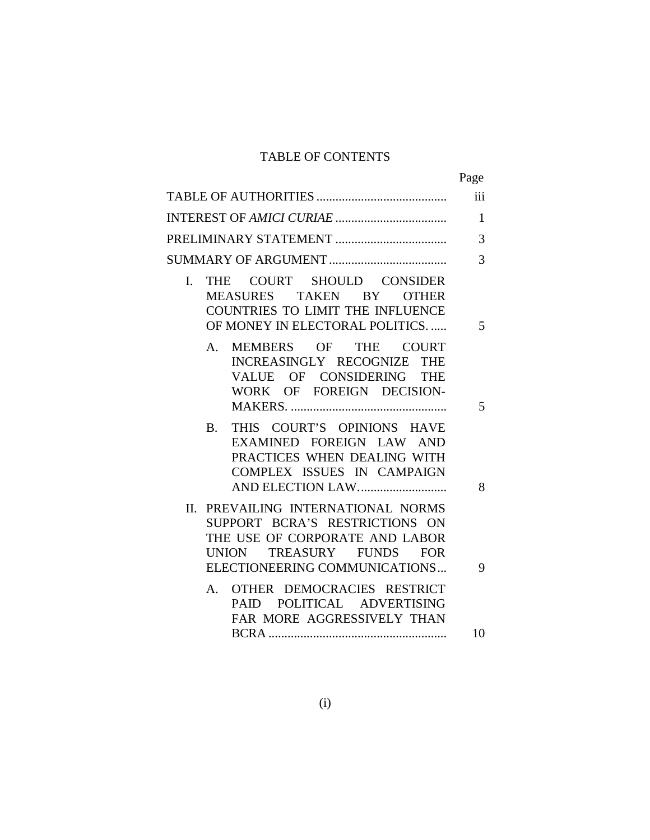### TABLE OF CONTENTS

|                                                                                                                                                                       | Page         |
|-----------------------------------------------------------------------------------------------------------------------------------------------------------------------|--------------|
|                                                                                                                                                                       | iii          |
|                                                                                                                                                                       | $\mathbf{1}$ |
|                                                                                                                                                                       | 3            |
|                                                                                                                                                                       | 3            |
| THE COURT SHOULD CONSIDER<br>$\mathbf{I}$ .<br>MEASURES TAKEN BY OTHER<br><b>COUNTRIES TO LIMIT THE INFLUENCE</b><br>OF MONEY IN ELECTORAL POLITICS                   | 5            |
| MEMBERS OF THE COURT<br>$A_{1}$<br>INCREASINGLY RECOGNIZE THE<br>VALUE OF CONSIDERING THE<br>WORK OF FOREIGN DECISION-                                                | 5            |
| THIS COURT'S OPINIONS HAVE<br><b>B.</b><br>EXAMINED FOREIGN LAW AND<br>PRACTICES WHEN DEALING WITH<br>COMPLEX ISSUES IN CAMPAIGN                                      | 8            |
| PREVAILING INTERNATIONAL NORMS<br>П.<br>SUPPORT BCRA'S RESTRICTIONS ON<br>THE USE OF CORPORATE AND LABOR<br>UNION TREASURY FUNDS FOR<br>ELECTIONEERING COMMUNICATIONS | 9            |
| A. OTHER DEMOCRACIES RESTRICT<br>PAID POLITICAL ADVERTISING<br>FAR MORE AGGRESSIVELY THAN                                                                             |              |
|                                                                                                                                                                       | 10           |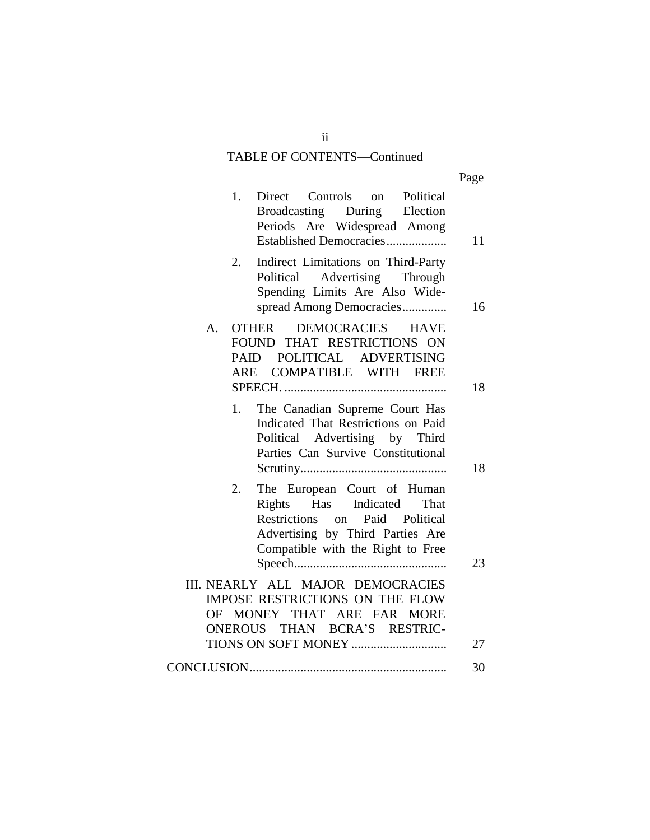### TABLE OF CONTENTS—Continued

|                                                                                                                                                                                    | Page |
|------------------------------------------------------------------------------------------------------------------------------------------------------------------------------------|------|
| Controls on Political<br>1.<br>Direct<br>Broadcasting During Election<br>Periods Are Widespread Among<br>Established Democracies                                                   | 11   |
| Indirect Limitations on Third-Party<br>2.<br>Political Advertising Through<br>Spending Limits Are Also Wide-<br>spread Among Democracies                                           | 16   |
| <b>DEMOCRACIES</b><br><b>OTHER</b><br><b>HAVE</b><br>$\mathsf{A}$ .<br>FOUND THAT RESTRICTIONS ON<br>PAID POLITICAL ADVERTISING<br>COMPATIBLE WITH FREE<br>ARE                     | 18   |
| The Canadian Supreme Court Has<br>1.<br>Indicated That Restrictions on Paid<br>Political Advertising by Third<br>Parties Can Survive Constitutional                                | 18   |
| The European Court of Human<br>2.<br>Rights Has Indicated<br>That<br>Restrictions on<br>Paid<br>Political<br>Advertising by Third Parties Are<br>Compatible with the Right to Free | 23   |
| III. NEARLY ALL MAJOR DEMOCRACIES<br>IMPOSE RESTRICTIONS ON THE FLOW<br>MONEY THAT ARE FAR<br>OF<br><b>MORE</b><br>ONEROUS THAN BCRA'S RESTRIC-                                    | 27   |
|                                                                                                                                                                                    | 30   |
|                                                                                                                                                                                    |      |

ii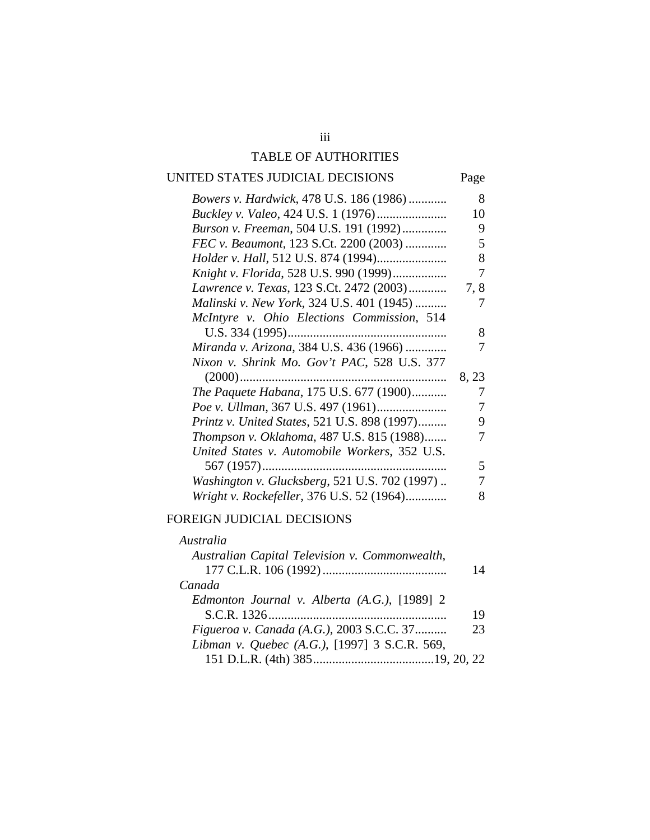### TABLE OF AUTHORITIES

### UNITED STATES JUDICIAL DECISIONS Page

| Bowers v. Hardwick, 478 U.S. 186 (1986)       | 8     |  |
|-----------------------------------------------|-------|--|
| <i>Buckley v. Valeo, 424 U.S. 1 (1976)</i>    | 10    |  |
| Burson v. Freeman, 504 U.S. 191 (1992)        | 9     |  |
| FEC v. Beaumont, 123 S.Ct. 2200 (2003)        | 5     |  |
|                                               | 8     |  |
| Knight v. Florida, 528 U.S. 990 (1999)        | 7     |  |
| Lawrence v. Texas, 123 S.Ct. 2472 (2003)      | 7,8   |  |
| Malinski v. New York, 324 U.S. 401 (1945)     | 7     |  |
| McIntyre v. Ohio Elections Commission, 514    |       |  |
|                                               | 8     |  |
| Miranda v. Arizona, 384 U.S. 436 (1966)       | 7     |  |
| Nixon v. Shrink Mo. Gov't PAC, 528 U.S. 377   |       |  |
|                                               | 8, 23 |  |
| The Paquete Habana, 175 U.S. 677 (1900)       | 7     |  |
|                                               | 7     |  |
| Printz v. United States, 521 U.S. 898 (1997)  | 9     |  |
| Thompson v. Oklahoma, 487 U.S. 815 (1988)     |       |  |
| United States v. Automobile Workers, 352 U.S. |       |  |
|                                               | 5     |  |
| Washington v. Glucksberg, 521 U.S. 702 (1997) | 7     |  |
| Wright v. Rockefeller, 376 U.S. 52 (1964)     | 8     |  |
|                                               |       |  |

#### FOREIGN JUDICIAL DECISIONS

| 14 |
|----|
|    |
|    |
| 19 |
| 23 |
|    |
|    |
|    |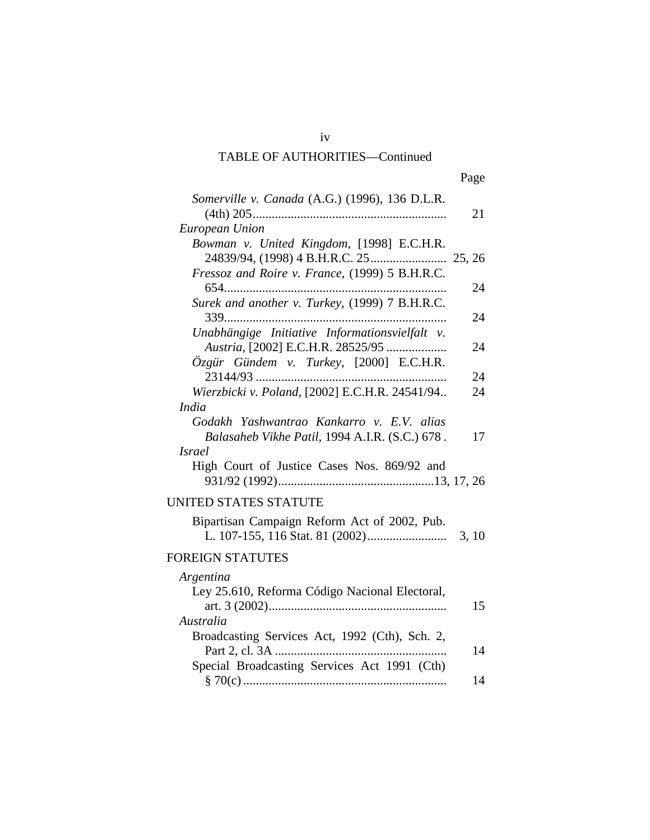| ×<br>I |
|--------|
|--------|

| Somerville v. Canada (A.G.) (1996), 136 D.L.R.                                                              | 21    |
|-------------------------------------------------------------------------------------------------------------|-------|
| European Union                                                                                              |       |
| Bowman v. United Kingdom, [1998] E.C.H.R.                                                                   |       |
| Fressoz and Roire v. France, (1999) 5 B.H.R.C.                                                              | 24    |
| Surek and another v. Turkey, (1999) 7 B.H.R.C.<br>$339$                                                     | 24    |
| Unabhängige Initiative Informationsvielfalt v.                                                              |       |
| Austria, [2002] E.C.H.R. 28525/95<br>Özgür Gündem v. Turkey, [2000] E.C.H.R.                                | 24    |
|                                                                                                             | 24    |
| Wierzbicki v. Poland, [2002] E.C.H.R. 24541/94                                                              | 24    |
| <i>India</i><br>Godakh Yashwantrao Kankarro v. E.V. alias<br>Balasaheb Vikhe Patil, 1994 A.I.R. (S.C.) 678. | 17    |
| <i>Israel</i>                                                                                               |       |
| High Court of Justice Cases Nos. 869/92 and                                                                 |       |
| UNITED STATES STATUTE                                                                                       |       |
| Bipartisan Campaign Reform Act of 2002, Pub.                                                                | 3, 10 |
| <b>FOREIGN STATUTES</b>                                                                                     |       |
| Argentina                                                                                                   |       |
| Ley 25.610, Reforma Código Nacional Electoral,                                                              | 15    |
| Australia                                                                                                   |       |
| Broadcasting Services Act, 1992 (Cth), Sch. 2,                                                              | 14    |
| Special Broadcasting Services Act 1991 (Cth)                                                                |       |
|                                                                                                             | 14    |

iv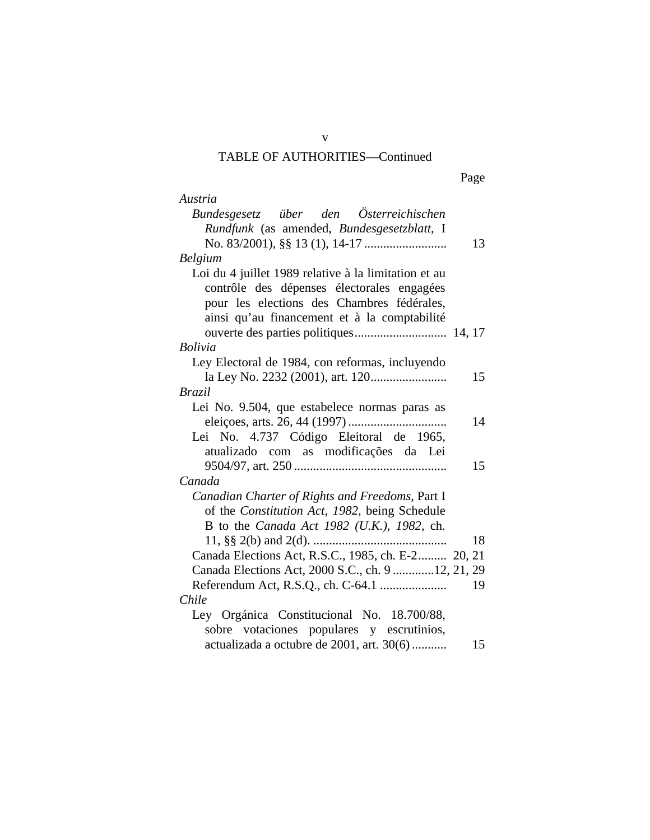| Page |
|------|
|------|

| Austria                                                 |
|---------------------------------------------------------|
| Bundesgesetz über den Österreichischen                  |
| Rundfunk (as amended, Bundesgesetzblatt, I              |
| 13                                                      |
| <b>Belgium</b>                                          |
| Loi du 4 juillet 1989 relative à la limitation et au    |
| contrôle des dépenses électorales engagées              |
| pour les elections des Chambres fédérales,              |
| ainsi qu'au financement et à la comptabilité            |
|                                                         |
| <b>Bolivia</b>                                          |
| Ley Electoral de 1984, con reformas, incluyendo         |
| 15                                                      |
| <b>Brazil</b>                                           |
| Lei No. 9.504, que estabelece normas paras as           |
| 14                                                      |
| Lei No. 4.737 Código Eleitoral de 1965,                 |
| atualizado com as modificações da Lei                   |
| 15                                                      |
| Canada                                                  |
| Canadian Charter of Rights and Freedoms, Part I         |
| of the Constitution Act, 1982, being Schedule           |
| B to the Canada Act 1982 (U.K.), 1982, ch.              |
| 11, §§ 2(b) and 2(d).<br>18                             |
| Canada Elections Act, R.S.C., 1985, ch. E-2 20, 21      |
| Canada Elections Act, 2000 S.C., ch. 9 12, 21, 29<br>19 |
| Referendum Act, R.S.Q., ch. C-64.1<br>Chile             |
|                                                         |
| Ley Orgánica Constitucional No. 18.700/88,              |
| sobre votaciones populares y escrutinios,               |
| actualizada a octubre de 2001, art. 30(6)<br>15         |

v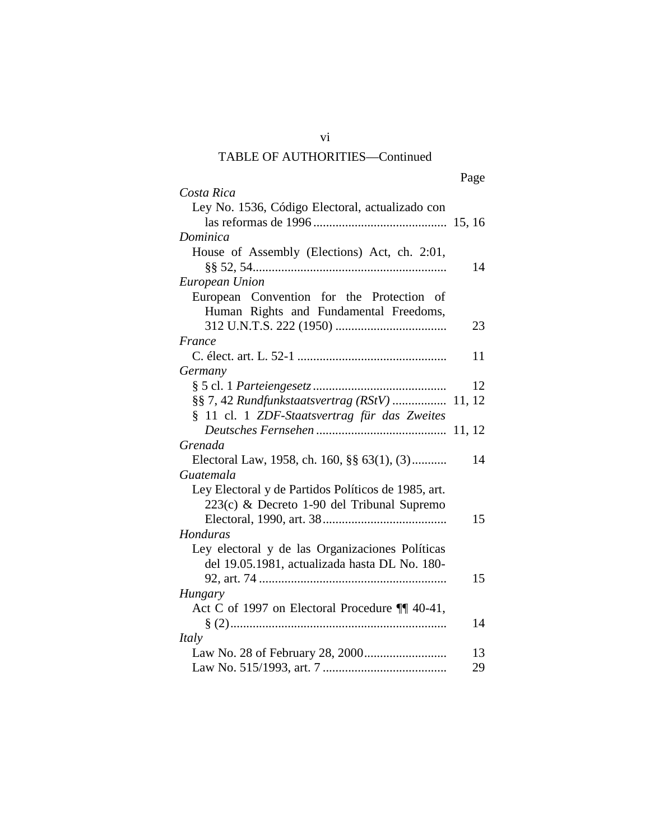|                                                     | Page |
|-----------------------------------------------------|------|
| Costa Rica                                          |      |
| Ley No. 1536, Código Electoral, actualizado con     |      |
|                                                     |      |
| Dominica                                            |      |
| House of Assembly (Elections) Act, ch. 2:01,        |      |
|                                                     | 14   |
| European Union                                      |      |
| European Convention for the Protection of           |      |
| Human Rights and Fundamental Freedoms,              |      |
|                                                     | 23   |
| France                                              |      |
|                                                     | 11   |
| Germany                                             |      |
|                                                     | 12   |
| §§ 7, 42 Rundfunkstaatsvertrag (RStV)  11, 12       |      |
| § 11 cl. 1 ZDF-Staatsvertrag für das Zweites        |      |
|                                                     |      |
| Grenada                                             |      |
| Electoral Law, 1958, ch. 160, §§ 63(1), (3)         | 14   |
| Guatemala                                           |      |
| Ley Electoral y de Partidos Políticos de 1985, art. |      |
| 223(c) & Decreto 1-90 del Tribunal Supremo          |      |
|                                                     | 15   |
| Honduras                                            |      |
| Ley electoral y de las Organizaciones Políticas     |      |
| del 19.05.1981, actualizada hasta DL No. 180-       |      |
|                                                     | 15   |
| Hungary                                             |      |
| Act C of 1997 on Electoral Procedure ¶ 40-41,       |      |
|                                                     | 14   |
| Italy                                               |      |
|                                                     | 13   |
|                                                     | 29   |

vi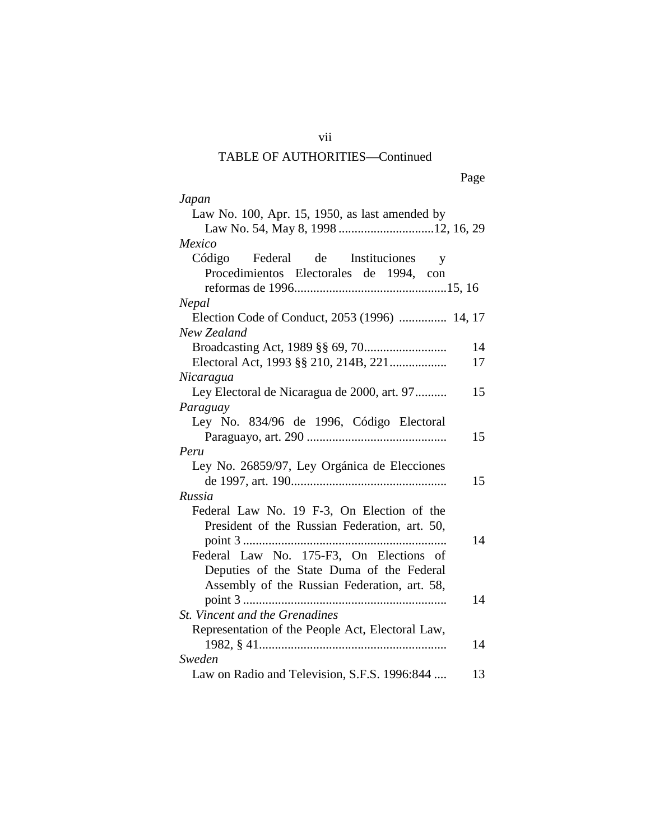Page

| Japan                                              |
|----------------------------------------------------|
| Law No. 100, Apr. 15, 1950, as last amended by     |
| Law No. 54, May 8, 1998 12, 16, 29                 |
| Mexico                                             |
| Código Federal de Instituciones<br>y               |
| Procedimientos Electorales de 1994, con            |
|                                                    |
| Nepal                                              |
| Election Code of Conduct, 2053 (1996)  14, 17      |
| New Zealand                                        |
| 14                                                 |
| Electoral Act, 1993 §§ 210, 214B, 221<br>17        |
| Nicaragua                                          |
| Ley Electoral de Nicaragua de 2000, art. 97<br>15  |
| Paraguay                                           |
| Ley No. 834/96 de 1996, Código Electoral           |
| 15                                                 |
| Peru                                               |
| Ley No. 26859/97, Ley Orgánica de Elecciones       |
| 15                                                 |
| Russia                                             |
| Federal Law No. 19 F-3, On Election of the         |
| President of the Russian Federation, art. 50,      |
| 14                                                 |
| Federal Law No. 175-F3, On Elections of            |
| Deputies of the State Duma of the Federal          |
| Assembly of the Russian Federation, art. 58,       |
| 14                                                 |
| St. Vincent and the Grenadines                     |
| Representation of the People Act, Electoral Law,   |
| 14                                                 |
| Sweden                                             |
| Law on Radio and Television, S.F.S. 1996:844<br>13 |

vii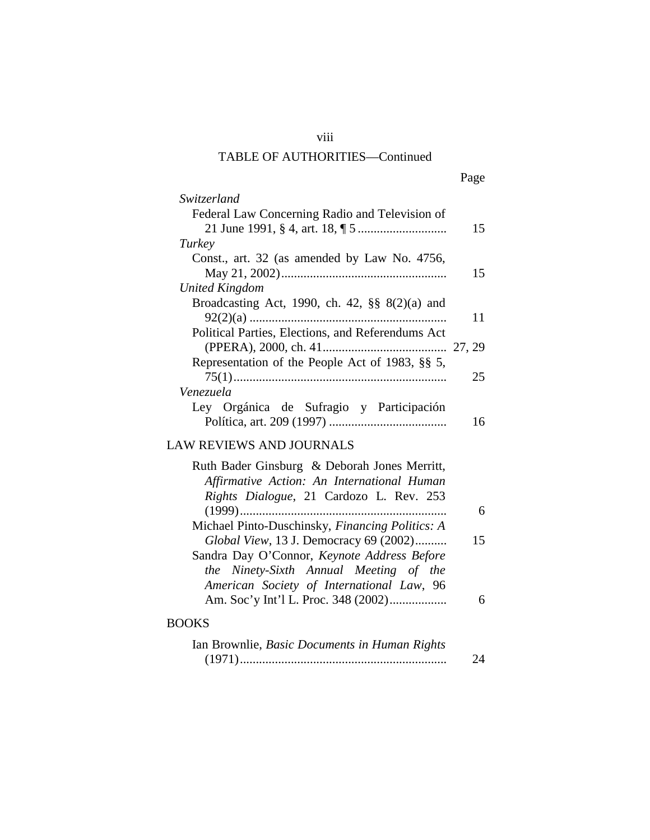# viii

## TABLE OF AUTHORITIES—Continued

|--|

| <i>Switzerland</i>                                 |    |
|----------------------------------------------------|----|
| Federal Law Concerning Radio and Television of     | 15 |
| Turkey                                             |    |
| Const., art. 32 (as amended by Law No. 4756,       |    |
|                                                    | 15 |
| United Kingdom                                     |    |
| Broadcasting Act, 1990, ch. 42, $\S\S 8(2)(a)$ and |    |
|                                                    | 11 |
| Political Parties, Elections, and Referendums Act  |    |
|                                                    |    |
| Representation of the People Act of 1983, §§ 5,    |    |
|                                                    | 25 |
| Venezuela                                          |    |
| Ley Orgánica de Sufragio y Participación           |    |
|                                                    | 6  |
|                                                    |    |

## LAW REVIEWS AND JOURNALS

| Ruth Bader Ginsburg & Deborah Jones Merritt,    |    |
|-------------------------------------------------|----|
| Affirmative Action: An International Human      |    |
| Rights Dialogue, 21 Cardozo L. Rev. 253         |    |
|                                                 |    |
| Michael Pinto-Duschinsky, Financing Politics: A |    |
| Global View, 13 J. Democracy 69 (2002)          | 15 |
| Sandra Day O'Connor, Keynote Address Before     |    |
| the Ninety-Sixth Annual Meeting of the          |    |
| American Society of International Law, 96       |    |
|                                                 |    |
|                                                 |    |

### BOOKS

| Ian Brownlie, Basic Documents in Human Rights |    |
|-----------------------------------------------|----|
|                                               | 24 |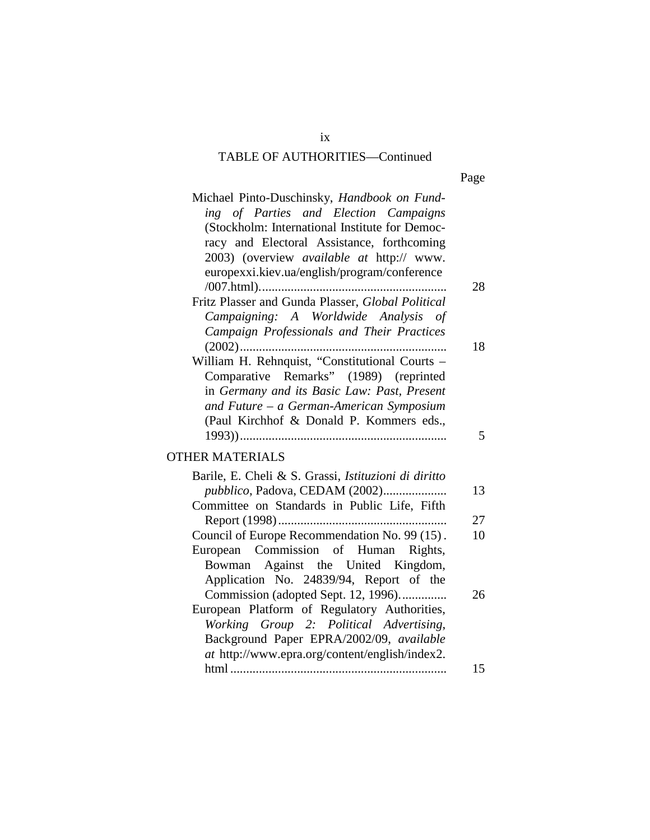| Michael Pinto-Duschinsky, Handbook on Fund-          |    |
|------------------------------------------------------|----|
| ing of Parties and Election Campaigns                |    |
| (Stockholm: International Institute for Democ-       |    |
| racy and Electoral Assistance, forthcoming           |    |
| 2003) (overview <i>available at http:// www.</i>     |    |
| europexxi.kiev.ua/english/program/conference         |    |
|                                                      | 28 |
| Fritz Plasser and Gunda Plasser, Global Political    |    |
| Campaigning: A Worldwide Analysis of                 |    |
| Campaign Professionals and Their Practices           |    |
|                                                      | 18 |
| William H. Rehnquist, "Constitutional Courts -       |    |
| Comparative Remarks" (1989) (reprinted               |    |
| in Germany and its Basic Law: Past, Present          |    |
| and Future - a German-American Symposium             |    |
| (Paul Kirchhof & Donald P. Kommers eds.,             |    |
|                                                      | 5  |
| <b>OTHER MATERIALS</b>                               |    |
| Barile, E. Cheli & S. Grassi, Istituzioni di diritto |    |
| pubblico, Padova, CEDAM (2002)                       | 13 |
| Committee on Standards in Public Life, Fifth         |    |
|                                                      | 27 |
| Council of Europe Recommendation No. 99 (15).        | 10 |
| European Commission of Human Rights,                 |    |
| Bowman Against the United Kingdom,                   |    |
| Application No. 24839/94, Report of the              |    |
| Commission (adopted Sept. 12, 1996)                  | 26 |
| European Platform of Regulatory Authorities,         |    |
| Working Group 2: Political Advertising,              |    |
| Background Paper EPRA/2002/09, available             |    |
|                                                      |    |
| at http://www.epra.org/content/english/index2.       | 15 |

ix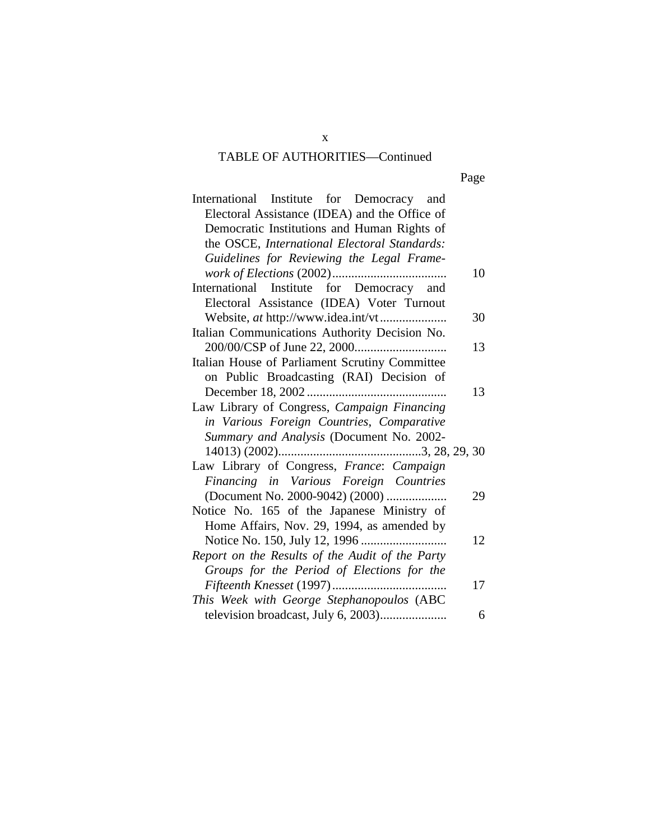| International Institute for Democracy and       |    |
|-------------------------------------------------|----|
| Electoral Assistance (IDEA) and the Office of   |    |
| Democratic Institutions and Human Rights of     |    |
| the OSCE, International Electoral Standards:    |    |
| Guidelines for Reviewing the Legal Frame-       |    |
|                                                 | 10 |
| International Institute for Democracy and       |    |
| Electoral Assistance (IDEA) Voter Turnout       |    |
|                                                 | 30 |
| Italian Communications Authority Decision No.   |    |
|                                                 | 13 |
| Italian House of Parliament Scrutiny Committee  |    |
| on Public Broadcasting (RAI) Decision of        |    |
| December 18, 2002                               | 13 |
| Law Library of Congress, Campaign Financing     |    |
| in Various Foreign Countries, Comparative       |    |
| Summary and Analysis (Document No. 2002-        |    |
|                                                 |    |
| Law Library of Congress, France: Campaign       |    |
| Financing in Various Foreign Countries          |    |
| (Document No. 2000-9042) (2000)                 | 29 |
| Notice No. 165 of the Japanese Ministry of      |    |
| Home Affairs, Nov. 29, 1994, as amended by      |    |
|                                                 | 12 |
| Report on the Results of the Audit of the Party |    |
| Groups for the Period of Elections for the      |    |
|                                                 | 17 |
| This Week with George Stephanopoulos (ABC       |    |
| television broadcast, July 6, 2003)             | 6  |

x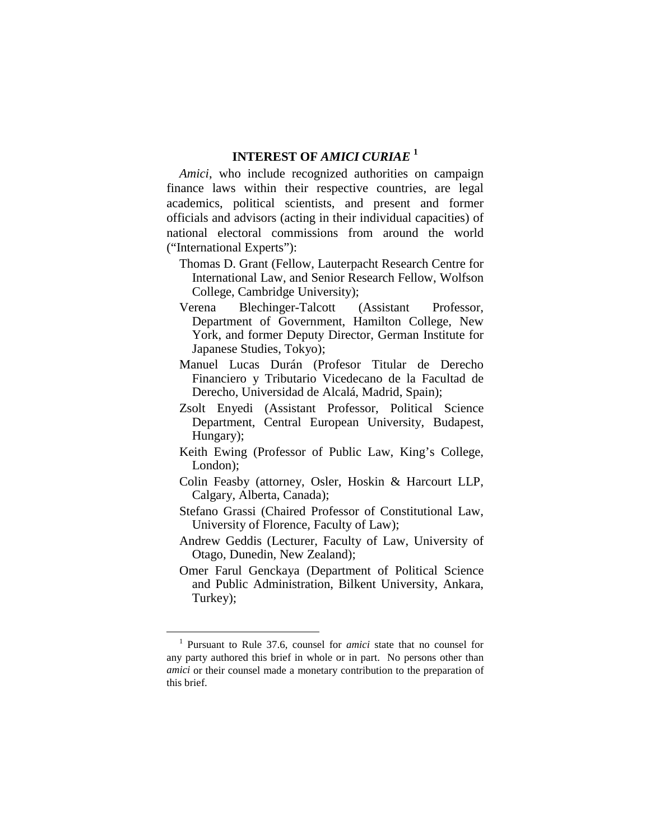### **INTEREST OF** *AMICI CURIAE* **<sup>1</sup>**

*Amici*, who include recognized authorities on campaign finance laws within their respective countries, are legal academics, political scientists, and present and former officials and advisors (acting in their individual capacities) of national electoral commissions from around the world ("International Experts"):

- Thomas D. Grant (Fellow, Lauterpacht Research Centre for International Law, and Senior Research Fellow, Wolfson College, Cambridge University);
- Verena Blechinger-Talcott (Assistant Professor, Department of Government, Hamilton College, New York, and former Deputy Director, German Institute for Japanese Studies, Tokyo);
- Manuel Lucas Durán (Profesor Titular de Derecho Financiero y Tributario Vicedecano de la Facultad de Derecho, Universidad de Alcalá, Madrid, Spain);
- Zsolt Enyedi (Assistant Professor, Political Science Department, Central European University, Budapest, Hungary);
- Keith Ewing (Professor of Public Law, King's College, London);
- Colin Feasby (attorney, Osler, Hoskin & Harcourt LLP, Calgary, Alberta, Canada);
- Stefano Grassi (Chaired Professor of Constitutional Law, University of Florence, Faculty of Law);
- Andrew Geddis (Lecturer, Faculty of Law, University of Otago, Dunedin, New Zealand);
- Omer Farul Genckaya (Department of Political Science and Public Administration, Bilkent University, Ankara, Turkey);

<sup>1</sup> Pursuant to Rule 37.6, counsel for *amici* state that no counsel for any party authored this brief in whole or in part. No persons other than *amici* or their counsel made a monetary contribution to the preparation of this brief.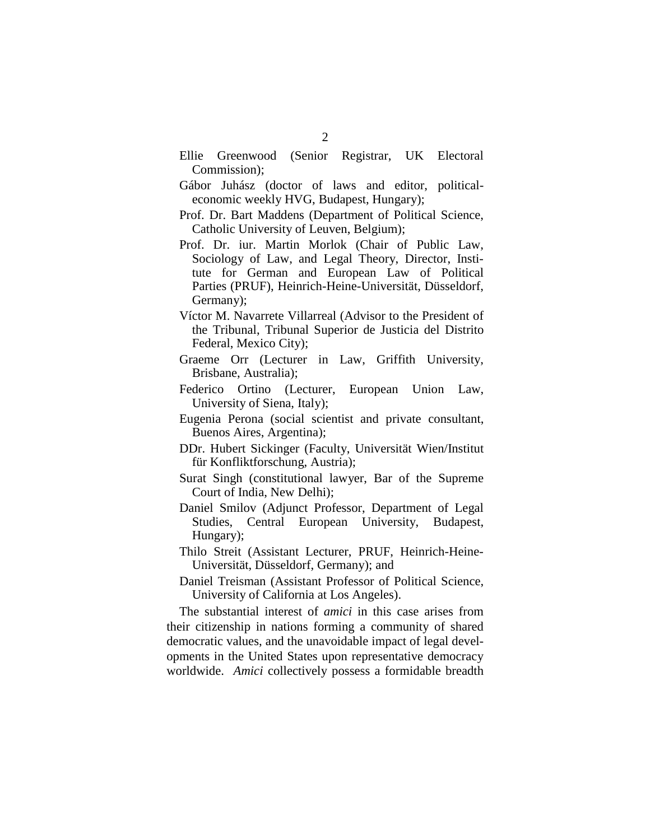- Ellie Greenwood (Senior Registrar, UK Electoral Commission);
- Gábor Juhász (doctor of laws and editor, politicaleconomic weekly HVG, Budapest, Hungary);
- Prof. Dr. Bart Maddens (Department of Political Science, Catholic University of Leuven, Belgium);
- Prof. Dr. iur. Martin Morlok (Chair of Public Law, Sociology of Law, and Legal Theory, Director, Institute for German and European Law of Political Parties (PRUF), Heinrich-Heine-Universität, Düsseldorf, Germany);
- Víctor M. Navarrete Villarreal (Advisor to the President of the Tribunal, Tribunal Superior de Justicia del Distrito Federal, Mexico City);
- Graeme Orr (Lecturer in Law, Griffith University, Brisbane, Australia);
- Federico Ortino (Lecturer, European Union Law, University of Siena, Italy);
- Eugenia Perona (social scientist and private consultant, Buenos Aires, Argentina);
- DDr. Hubert Sickinger (Faculty, Universität Wien/Institut für Konfliktforschung, Austria);
- Surat Singh (constitutional lawyer, Bar of the Supreme Court of India, New Delhi);
- Daniel Smilov (Adjunct Professor, Department of Legal Studies, Central European University, Budapest, Hungary);
- Thilo Streit (Assistant Lecturer, PRUF, Heinrich-Heine-Universität, Düsseldorf, Germany); and
- Daniel Treisman (Assistant Professor of Political Science, University of California at Los Angeles).

The substantial interest of *amici* in this case arises from their citizenship in nations forming a community of shared democratic values, and the unavoidable impact of legal developments in the United States upon representative democracy worldwide. *Amici* collectively possess a formidable breadth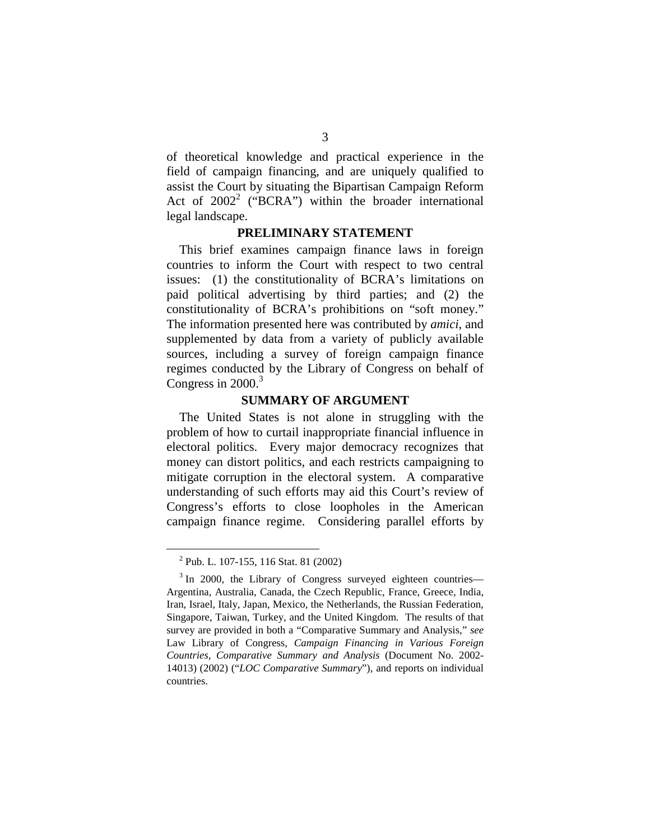of theoretical knowledge and practical experience in the field of campaign financing, and are uniquely qualified to assist the Court by situating the Bipartisan Campaign Reform Act of  $2002^2$  ("BCRA") within the broader international legal landscape.

#### **PRELIMINARY STATEMENT**

This brief examines campaign finance laws in foreign countries to inform the Court with respect to two central issues: (1) the constitutionality of BCRA's limitations on paid political advertising by third parties; and (2) the constitutionality of BCRA's prohibitions on "soft money." The information presented here was contributed by *amici*, and supplemented by data from a variety of publicly available sources, including a survey of foreign campaign finance regimes conducted by the Library of Congress on behalf of Congress in  $2000$ .<sup>3</sup>

#### **SUMMARY OF ARGUMENT**

The United States is not alone in struggling with the problem of how to curtail inappropriate financial influence in electoral politics. Every major democracy recognizes that money can distort politics, and each restricts campaigning to mitigate corruption in the electoral system. A comparative understanding of such efforts may aid this Court's review of Congress's efforts to close loopholes in the American campaign finance regime. Considering parallel efforts by

<sup>2</sup> Pub. L. 107-155, 116 Stat. 81 (2002)

<sup>&</sup>lt;sup>3</sup> In 2000, the Library of Congress surveyed eighteen countries— Argentina, Australia, Canada, the Czech Republic, France, Greece, India, Iran, Israel, Italy, Japan, Mexico, the Netherlands, the Russian Federation, Singapore, Taiwan, Turkey, and the United Kingdom. The results of that survey are provided in both a "Comparative Summary and Analysis," *see*  Law Library of Congress, *Campaign Financing in Various Foreign Countries*, *Comparative Summary and Analysis* (Document No. 2002- 14013) (2002) ("*LOC Comparative Summary*"), and reports on individual countries.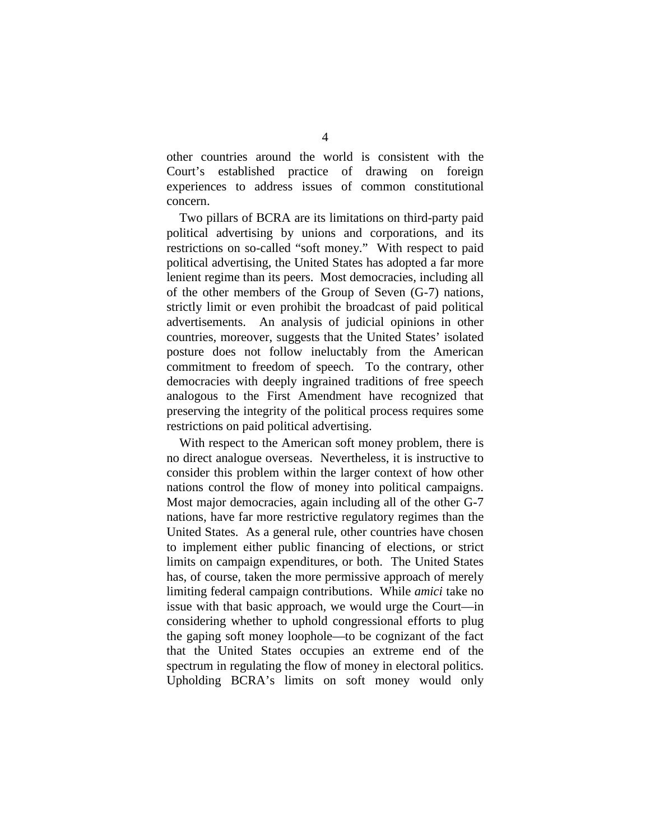other countries around the world is consistent with the Court's established practice of drawing on foreign experiences to address issues of common constitutional concern.

Two pillars of BCRA are its limitations on third-party paid political advertising by unions and corporations, and its restrictions on so-called "soft money." With respect to paid political advertising, the United States has adopted a far more lenient regime than its peers. Most democracies, including all of the other members of the Group of Seven (G-7) nations, strictly limit or even prohibit the broadcast of paid political advertisements. An analysis of judicial opinions in other countries, moreover, suggests that the United States' isolated posture does not follow ineluctably from the American commitment to freedom of speech. To the contrary, other democracies with deeply ingrained traditions of free speech analogous to the First Amendment have recognized that preserving the integrity of the political process requires some restrictions on paid political advertising.

With respect to the American soft money problem, there is no direct analogue overseas. Nevertheless, it is instructive to consider this problem within the larger context of how other nations control the flow of money into political campaigns. Most major democracies, again including all of the other G-7 nations, have far more restrictive regulatory regimes than the United States. As a general rule, other countries have chosen to implement either public financing of elections, or strict limits on campaign expenditures, or both. The United States has, of course, taken the more permissive approach of merely limiting federal campaign contributions. While *amici* take no issue with that basic approach, we would urge the Court—in considering whether to uphold congressional efforts to plug the gaping soft money loophole—to be cognizant of the fact that the United States occupies an extreme end of the spectrum in regulating the flow of money in electoral politics. Upholding BCRA's limits on soft money would only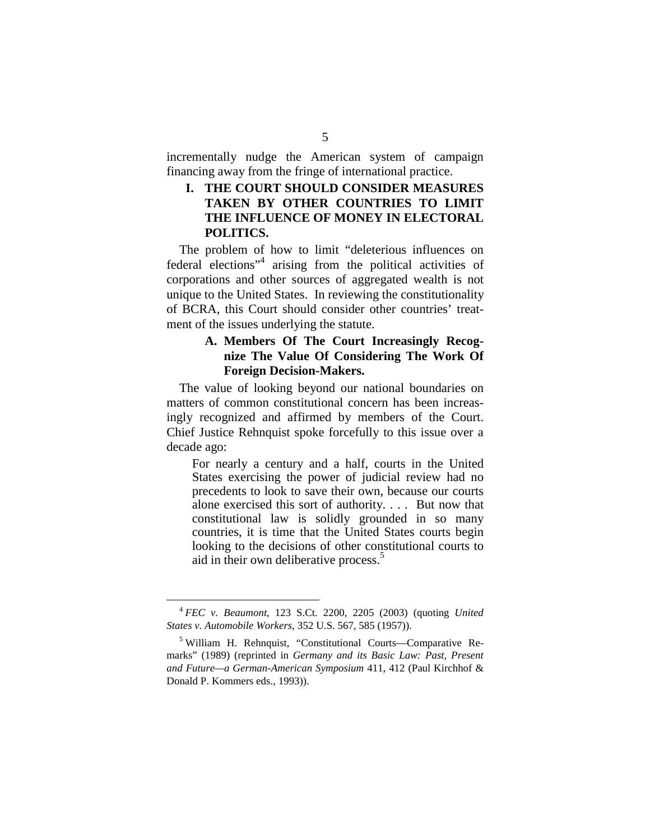incrementally nudge the American system of campaign financing away from the fringe of international practice.

#### **I. THE COURT SHOULD CONSIDER MEASURES TAKEN BY OTHER COUNTRIES TO LIMIT THE INFLUENCE OF MONEY IN ELECTORAL POLITICS.**

The problem of how to limit "deleterious influences on federal elections"<sup>4</sup> arising from the political activities of corporations and other sources of aggregated wealth is not unique to the United States. In reviewing the constitutionality of BCRA, this Court should consider other countries' treatment of the issues underlying the statute.

#### **A. Members Of The Court Increasingly Recognize The Value Of Considering The Work Of Foreign Decision-Makers.**

The value of looking beyond our national boundaries on matters of common constitutional concern has been increasingly recognized and affirmed by members of the Court. Chief Justice Rehnquist spoke forcefully to this issue over a decade ago:

For nearly a century and a half, courts in the United States exercising the power of judicial review had no precedents to look to save their own, because our courts alone exercised this sort of authority. . . . But now that constitutional law is solidly grounded in so many countries, it is time that the United States courts begin looking to the decisions of other constitutional courts to aid in their own deliberative process.<sup>5</sup>

<sup>4</sup>*FEC v. Beaumont*, 123 S.Ct. 2200, 2205 (2003) (quoting *United States v. Automobile Workers*, 352 U.S. 567, 585 (1957)).

<sup>5</sup> William H. Rehnquist, "Constitutional Courts—Comparative Remarks" (1989) (reprinted in *Germany and its Basic Law: Past, Present and Future—a German-American Symposium* 411, 412 (Paul Kirchhof & Donald P. Kommers eds., 1993)).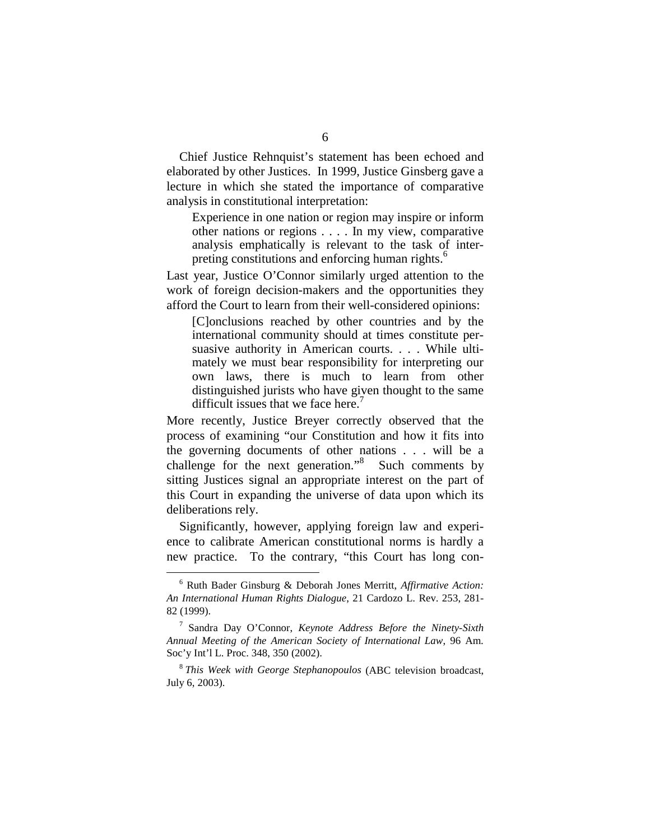Chief Justice Rehnquist's statement has been echoed and elaborated by other Justices. In 1999, Justice Ginsberg gave a lecture in which she stated the importance of comparative analysis in constitutional interpretation:

Experience in one nation or region may inspire or inform other nations or regions . . . . In my view, comparative analysis emphatically is relevant to the task of interpreting constitutions and enforcing human rights.<sup>6</sup>

Last year, Justice O'Connor similarly urged attention to the work of foreign decision-makers and the opportunities they afford the Court to learn from their well-considered opinions:

[C]onclusions reached by other countries and by the international community should at times constitute persuasive authority in American courts. . . . While ultimately we must bear responsibility for interpreting our own laws, there is much to learn from other distinguished jurists who have given thought to the same difficult issues that we face here.<sup>7</sup>

More recently, Justice Breyer correctly observed that the process of examining "our Constitution and how it fits into the governing documents of other nations . . . will be a challenge for the next generation."8 Such comments by sitting Justices signal an appropriate interest on the part of this Court in expanding the universe of data upon which its deliberations rely.

Significantly, however, applying foreign law and experience to calibrate American constitutional norms is hardly a new practice. To the contrary, "this Court has long con-

<sup>6</sup> Ruth Bader Ginsburg & Deborah Jones Merritt, *Affirmative Action: An International Human Rights Dialogue*, 21 Cardozo L. Rev. 253, 281- 82 (1999).

<sup>7</sup> Sandra Day O'Connor, *Keynote Address Before the Ninety-Sixth Annual Meeting of the American Society of International Law*, 96 Am. Soc'y Int'l L. Proc. 348, 350 (2002).

<sup>8</sup>*This Week with George Stephanopoulos* (ABC television broadcast, July 6, 2003).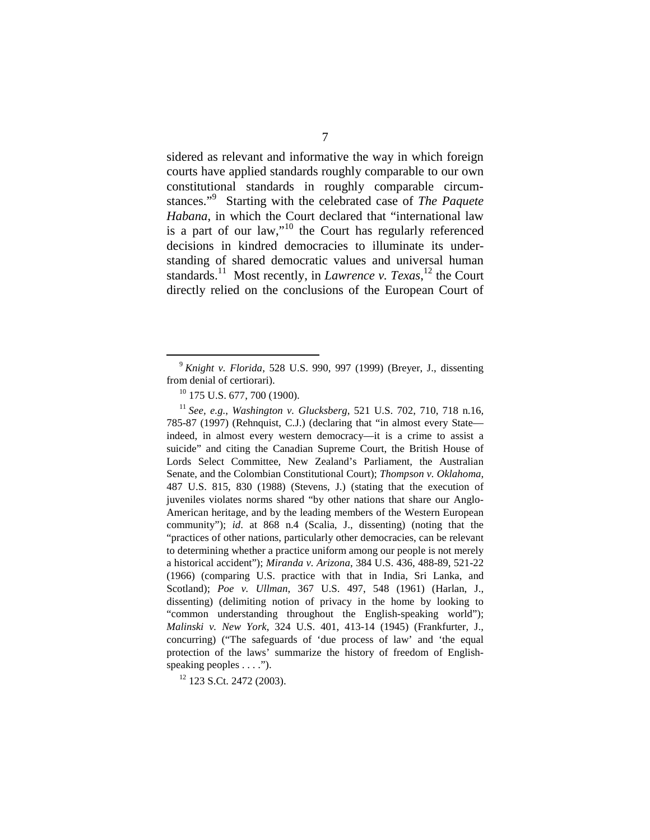sidered as relevant and informative the way in which foreign courts have applied standards roughly comparable to our own constitutional standards in roughly comparable circumstances."9 Starting with the celebrated case of *The Paquete Habana*, in which the Court declared that "international law is a part of our law,"10 the Court has regularly referenced decisions in kindred democracies to illuminate its understanding of shared democratic values and universal human standards.<sup>11</sup> Most recently, in *Lawrence v. Texas*,<sup>12</sup> the Court directly relied on the conclusions of the European Court of

<sup>9</sup>*Knight v. Florida*, 528 U.S. 990, 997 (1999) (Breyer, J., dissenting

<sup>&</sup>lt;sup>10</sup> 175 U.S. 677, 700 (1900).<br><sup>11</sup> See, e.g., Washington v. Glucksberg, 521 U.S. 702, 710, 718 n.16, 785-87 (1997) (Rehnquist, C.J.) (declaring that "in almost every State indeed, in almost every western democracy—it is a crime to assist a suicide" and citing the Canadian Supreme Court, the British House of Lords Select Committee, New Zealand's Parliament, the Australian Senate, and the Colombian Constitutional Court); *Thompson v. Oklahoma*, 487 U.S. 815, 830 (1988) (Stevens, J.) (stating that the execution of juveniles violates norms shared "by other nations that share our Anglo-American heritage, and by the leading members of the Western European community"); *id*. at 868 n.4 (Scalia, J., dissenting) (noting that the "practices of other nations, particularly other democracies, can be relevant to determining whether a practice uniform among our people is not merely a historical accident"); *Miranda v. Arizona*, 384 U.S. 436, 488-89, 521-22 (1966) (comparing U.S. practice with that in India, Sri Lanka, and Scotland); *Poe v. Ullman*, 367 U.S. 497, 548 (1961) (Harlan, J., dissenting) (delimiting notion of privacy in the home by looking to "common understanding throughout the English-speaking world"); *Malinski v. New York*, 324 U.S. 401, 413-14 (1945) (Frankfurter, J., concurring) ("The safeguards of 'due process of law' and 'the equal protection of the laws' summarize the history of freedom of Englishspeaking peoples . . . .").

 $12$  123 S.Ct. 2472 (2003).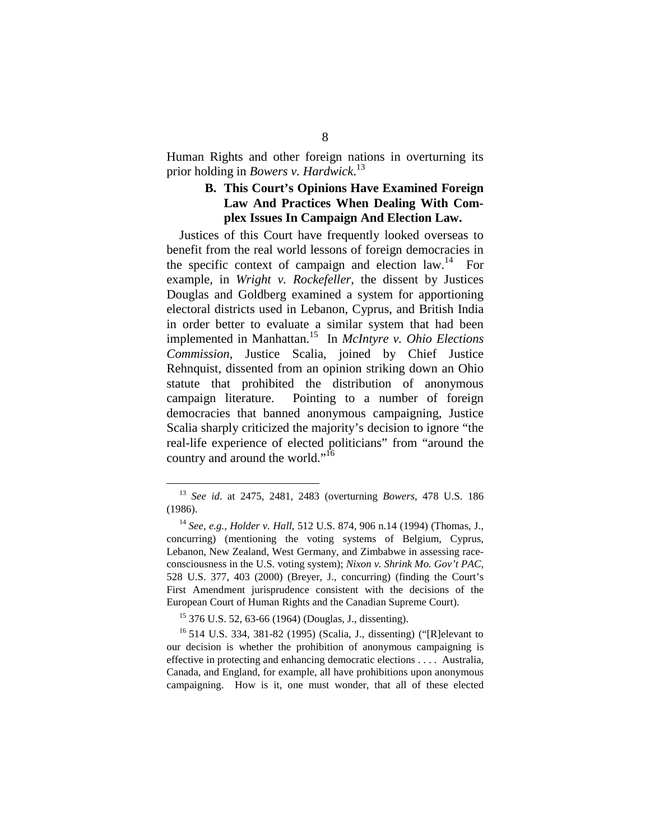Human Rights and other foreign nations in overturning its prior holding in *Bowers v. Hardwick*. 13

#### **B. This Court's Opinions Have Examined Foreign Law And Practices When Dealing With Complex Issues In Campaign And Election Law.**

Justices of this Court have frequently looked overseas to benefit from the real world lessons of foreign democracies in the specific context of campaign and election law.<sup>14</sup> For example, in *Wright v. Rockefeller*, the dissent by Justices Douglas and Goldberg examined a system for apportioning electoral districts used in Lebanon, Cyprus, and British India in order better to evaluate a similar system that had been implemented in Manhattan.15 In *McIntyre v. Ohio Elections Commission*, Justice Scalia, joined by Chief Justice Rehnquist, dissented from an opinion striking down an Ohio statute that prohibited the distribution of anonymous campaign literature. Pointing to a number of foreign democracies that banned anonymous campaigning, Justice Scalia sharply criticized the majority's decision to ignore "the real-life experience of elected politicians" from "around the country and around the world."<sup>16</sup>

<sup>13</sup>*See id*. at 2475, 2481, 2483 (overturning *Bowers*, 478 U.S. 186 (1986).

<sup>14</sup> *See, e.g.*, *Holder v. Hall*, 512 U.S. 874, 906 n.14 (1994) (Thomas, J., concurring) (mentioning the voting systems of Belgium, Cyprus, Lebanon, New Zealand, West Germany, and Zimbabwe in assessing raceconsciousness in the U.S. voting system); *Nixon v. Shrink Mo. Gov't PAC*, 528 U.S. 377, 403 (2000) (Breyer, J., concurring) (finding the Court's First Amendment jurisprudence consistent with the decisions of the European Court of Human Rights and the Canadian Supreme Court).

<sup>&</sup>lt;sup>15</sup> 376 U.S. 52, 63-66 (1964) (Douglas, J., dissenting).<br><sup>16</sup> 514 U.S. 334, 381-82 (1995) (Scalia, J., dissenting) ("[R]elevant to our decision is whether the prohibition of anonymous campaigning is effective in protecting and enhancing democratic elections . . . . Australia, Canada, and England, for example, all have prohibitions upon anonymous campaigning. How is it, one must wonder, that all of these elected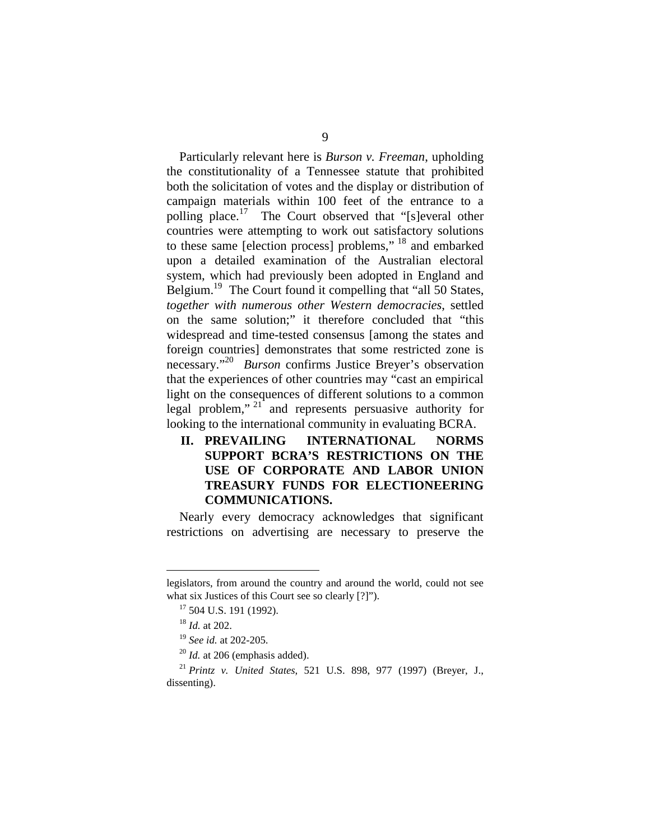Particularly relevant here is *Burson v. Freeman*, upholding the constitutionality of a Tennessee statute that prohibited both the solicitation of votes and the display or distribution of campaign materials within 100 feet of the entrance to a polling place.<sup>17</sup> The Court observed that "[s]everal other countries were attempting to work out satisfactory solutions to these same [election process] problems," 18 and embarked upon a detailed examination of the Australian electoral system, which had previously been adopted in England and Belgium.<sup>19</sup> The Court found it compelling that "all 50 States, *together with numerous other Western democracies*, settled on the same solution;" it therefore concluded that "this widespread and time-tested consensus [among the states and foreign countries] demonstrates that some restricted zone is necessary."<sup>20</sup>*Burson* confirms Justice Breyer's observation that the experiences of other countries may "cast an empirical light on the consequences of different solutions to a common legal problem,"  $21^{\circ}$  and represents persuasive authority for looking to the international community in evaluating BCRA.

**II. PREVAILING INTERNATIONAL NORMS SUPPORT BCRA'S RESTRICTIONS ON THE USE OF CORPORATE AND LABOR UNION TREASURY FUNDS FOR ELECTIONEERING COMMUNICATIONS.** 

Nearly every democracy acknowledges that significant restrictions on advertising are necessary to preserve the

legislators, from around the country and around the world, could not see what six Justices of this Court see so clearly [?]").<br><sup>17</sup> 504 U.S. 191 (1992).<br><sup>18</sup> *Id.* at 202.

<sup>19</sup>*See id.* at 202-205. 20 *Id.* at 206 (emphasis added). 21 *Printz v. United States*, 521 U.S. 898, 977 (1997) (Breyer, J., dissenting).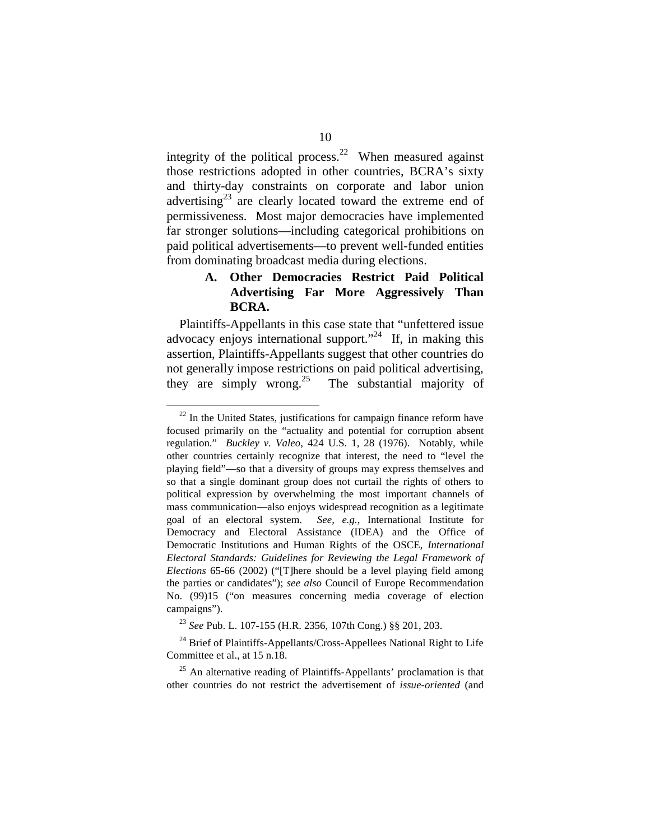integrity of the political process.<sup>22</sup> When measured against those restrictions adopted in other countries, BCRA's sixty and thirty-day constraints on corporate and labor union advertising<sup>23</sup> are clearly located toward the extreme end of permissiveness. Most major democracies have implemented far stronger solutions—including categorical prohibitions on paid political advertisements—to prevent well-funded entities from dominating broadcast media during elections.

#### **A. Other Democracies Restrict Paid Political Advertising Far More Aggressively Than BCRA.**

Plaintiffs-Appellants in this case state that "unfettered issue advocacy enjoys international support."<sup>24</sup> If, in making this assertion, Plaintiffs-Appellants suggest that other countries do not generally impose restrictions on paid political advertising, they are simply wrong.<sup>25</sup> The substantial majority of

 $22$  In the United States, justifications for campaign finance reform have focused primarily on the "actuality and potential for corruption absent regulation." *Buckley v. Valeo*, 424 U.S. 1, 28 (1976). Notably, while other countries certainly recognize that interest, the need to "level the playing field"—so that a diversity of groups may express themselves and so that a single dominant group does not curtail the rights of others to political expression by overwhelming the most important channels of mass communication—also enjoys widespread recognition as a legitimate goal of an electoral system. *See, e.g.,* International Institute for Democracy and Electoral Assistance (IDEA) and the Office of Democratic Institutions and Human Rights of the OSCE, *International Electoral Standards: Guidelines for Reviewing the Legal Framework of Elections* 65-66 (2002) ("[T]here should be a level playing field among the parties or candidates"); *see also* Council of Europe Recommendation No. (99)15 ("on measures concerning media coverage of election campaigns").

<sup>23</sup>*See* Pub. L. 107-155 (H.R. 2356, 107th Cong.) §§ 201, 203.

 $24$  Brief of Plaintiffs-Appellants/Cross-Appellees National Right to Life Committee et al., at 15 n.18.

 $25$  An alternative reading of Plaintiffs-Appellants' proclamation is that other countries do not restrict the advertisement of *issue-oriented* (and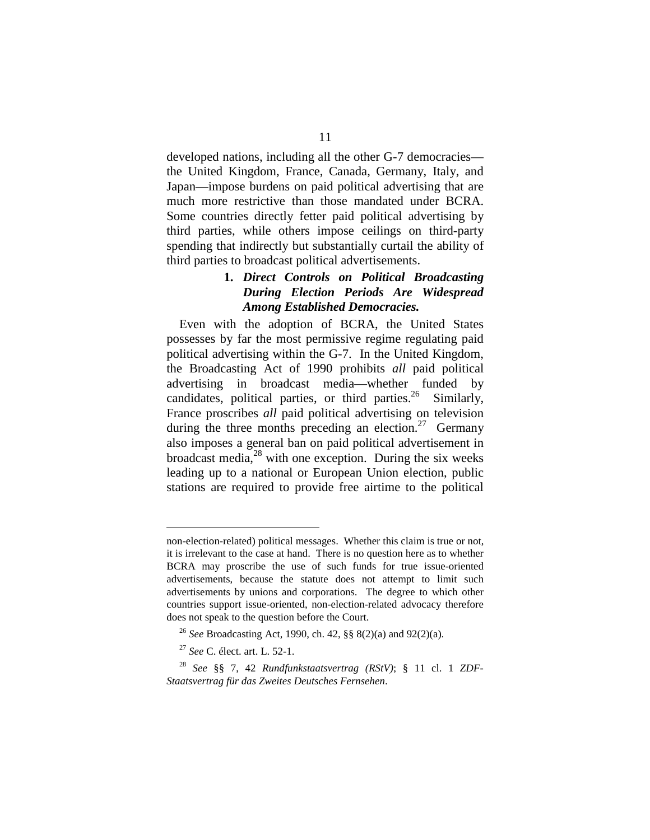developed nations, including all the other G-7 democracies the United Kingdom, France, Canada, Germany, Italy, and Japan—impose burdens on paid political advertising that are much more restrictive than those mandated under BCRA. Some countries directly fetter paid political advertising by third parties, while others impose ceilings on third-party spending that indirectly but substantially curtail the ability of third parties to broadcast political advertisements.

#### **1.**  *Direct Controls on Political Broadcasting During Election Periods Are Widespread Among Established Democracies.*

Even with the adoption of BCRA, the United States possesses by far the most permissive regime regulating paid political advertising within the G-7. In the United Kingdom, the Broadcasting Act of 1990 prohibits *all* paid political advertising in broadcast media—whether funded by candidates, political parties, or third parties.<sup>26</sup> Similarly, France proscribes *all* paid political advertising on television during the three months preceding an election.<sup>27</sup> Germany also imposes a general ban on paid political advertisement in broadcast media, $2^8$  with one exception. During the six weeks leading up to a national or European Union election, public stations are required to provide free airtime to the political

non-election-related) political messages. Whether this claim is true or not, it is irrelevant to the case at hand. There is no question here as to whether BCRA may proscribe the use of such funds for true issue-oriented advertisements, because the statute does not attempt to limit such advertisements by unions and corporations. The degree to which other countries support issue-oriented, non-election-related advocacy therefore does not speak to the question before the Court.

<sup>26</sup>*See* Broadcasting Act, 1990, ch. 42, §§ 8(2)(a) and 92(2)(a).

<sup>27</sup>*See* C. élect. art. L. 52-1.

<sup>28</sup>*See* §§ 7, 42 *Rundfunkstaatsvertrag (RStV)*; § 11 cl. 1 *ZDF-Staatsvertrag für das Zweites Deutsches Fernsehen*.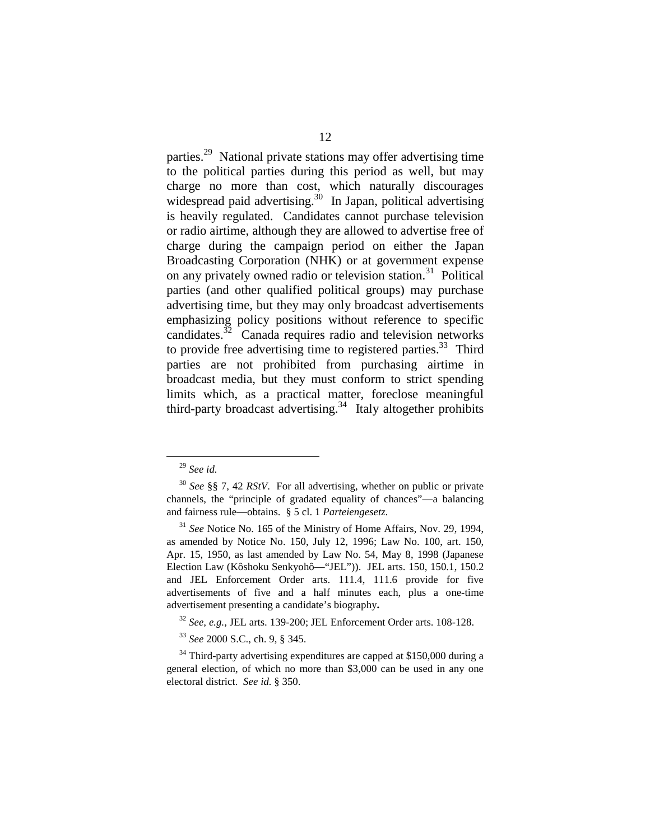parties.29 National private stations may offer advertising time to the political parties during this period as well, but may charge no more than cost, which naturally discourages widespread paid advertising.<sup>30</sup> In Japan, political advertising is heavily regulated. Candidates cannot purchase television or radio airtime, although they are allowed to advertise free of charge during the campaign period on either the Japan Broadcasting Corporation (NHK) or at government expense on any privately owned radio or television station.<sup>31</sup> Political parties (and other qualified political groups) may purchase advertising time, but they may only broadcast advertisements emphasizing policy positions without reference to specific candidates. $32$  Canada requires radio and television networks to provide free advertising time to registered parties. $33$  Third parties are not prohibited from purchasing airtime in broadcast media, but they must conform to strict spending limits which, as a practical matter, foreclose meaningful third-party broadcast advertising. 34 Italy altogether prohibits

<sup>29</sup> *See id.* 

<sup>30</sup>*See* §§ 7, 42 *RStV*. For all advertising, whether on public or private channels, the "principle of gradated equality of chances"—a balancing and fairness rule—obtains. § 5 cl. 1 *Parteiengesetz*.

<sup>31</sup>*See* Notice No. 165 of the Ministry of Home Affairs, Nov. 29, 1994, as amended by Notice No. 150, July 12, 1996; Law No. 100, art. 150, Apr. 15, 1950, as last amended by Law No. 54, May 8, 1998 (Japanese Election Law (Kôshoku Senkyohô—"JEL")). JEL arts. 150, 150.1, 150.2 and JEL Enforcement Order arts. 111.4, 111.6 provide for five advertisements of five and a half minutes each, plus a one-time advertisement presenting a candidate's biography**.** 

<sup>32</sup>*See, e.g.,* JEL arts. 139-200; JEL Enforcement Order arts. 108-128.

<sup>33</sup>*See* 2000 S.C., ch. 9, § 345.

 $34$  Third-party advertising expenditures are capped at \$150,000 during a general election, of which no more than \$3,000 can be used in any one electoral district. *See id.* § 350.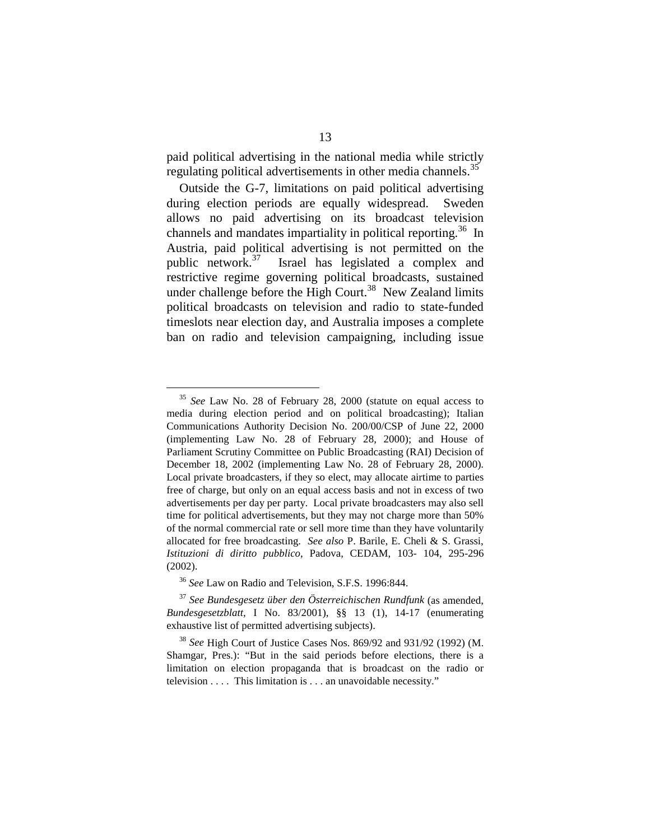paid political advertising in the national media while strictly regulating political advertisements in other media channels.<sup>35</sup>

Outside the G-7, limitations on paid political advertising during election periods are equally widespread. Sweden allows no paid advertising on its broadcast television channels and mandates impartiality in political reporting. 36 In Austria, paid political advertising is not permitted on the public network. $37$  Israel has legislated a complex and restrictive regime governing political broadcasts, sustained under challenge before the High Court.<sup>38</sup> New Zealand limits political broadcasts on television and radio to state-funded timeslots near election day, and Australia imposes a complete ban on radio and television campaigning, including issue

<sup>35</sup>*See* Law No. 28 of February 28, 2000 (statute on equal access to media during election period and on political broadcasting); Italian Communications Authority Decision No. 200/00/CSP of June 22, 2000 (implementing Law No. 28 of February 28, 2000); and House of Parliament Scrutiny Committee on Public Broadcasting (RAI) Decision of December 18, 2002 (implementing Law No. 28 of February 28, 2000). Local private broadcasters, if they so elect, may allocate airtime to parties free of charge, but only on an equal access basis and not in excess of two advertisements per day per party. Local private broadcasters may also sell time for political advertisements, but they may not charge more than 50% of the normal commercial rate or sell more time than they have voluntarily allocated for free broadcasting. *See also* P. Barile, E. Cheli & S. Grassi, *Istituzioni di diritto pubblico*, Padova, CEDAM, 103- 104, 295-296 (2002).

<sup>36</sup>*See* Law on Radio and Television, S.F.S. 1996:844.

<sup>37</sup>*See Bundesgesetz über den Österreichischen Rundfunk* (as amended, *Bundesgesetzblatt*, I No. 83/2001), §§ 13 (1), 14-17 (enumerating exhaustive list of permitted advertising subjects).

<sup>38</sup>*See* High Court of Justice Cases Nos. 869/92 and 931/92 (1992) (M. Shamgar, Pres.): "But in the said periods before elections, there is a limitation on election propaganda that is broadcast on the radio or television . . . . This limitation is . . . an unavoidable necessity."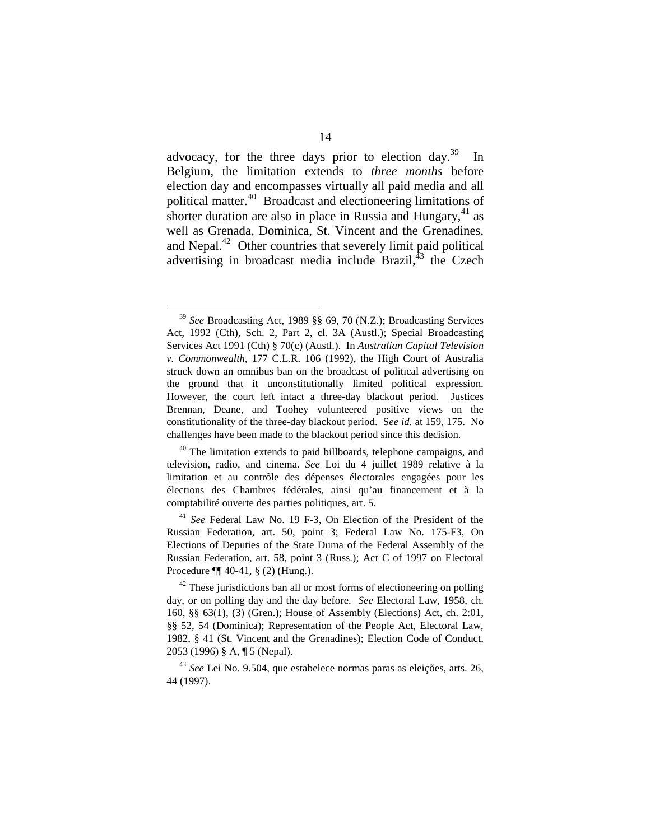advocacy, for the three days prior to election day.<sup>39</sup> In Belgium, the limitation extends to *three months* before election day and encompasses virtually all paid media and all political matter.40 Broadcast and electioneering limitations of shorter duration are also in place in Russia and Hungary,<sup>41</sup> as well as Grenada, Dominica, St. Vincent and the Grenadines, and Nepal.<sup>42</sup> Other countries that severely limit paid political advertising in broadcast media include Brazil, $43$  the Czech

<sup>39</sup>*See* Broadcasting Act, 1989 §§ 69, 70 (N.Z.); Broadcasting Services Act, 1992 (Cth), Sch. 2, Part 2, cl. 3A (Austl.); Special Broadcasting Services Act 1991 (Cth) § 70(c) (Austl.). In *Australian Capital Television v. Commonwealth*, 177 C.L.R. 106 (1992), the High Court of Australia struck down an omnibus ban on the broadcast of political advertising on the ground that it unconstitutionally limited political expression. However, the court left intact a three-day blackout period. Justices Brennan, Deane, and Toohey volunteered positive views on the constitutionality of the three-day blackout period. S*ee id.* at 159, 175. No challenges have been made to the blackout period since this decision*.* 

 $40$  The limitation extends to paid billboards, telephone campaigns, and television, radio, and cinema. *See* Loi du 4 juillet 1989 relative à la limitation et au contrôle des dépenses électorales engagées pour les élections des Chambres fédérales, ainsi qu'au financement et à la comptabilité ouverte des parties politiques, art. 5.

<sup>41</sup>*See* Federal Law No. 19 F-3, On Election of the President of the Russian Federation, art. 50, point 3; Federal Law No. 175-F3, On Elections of Deputies of the State Duma of the Federal Assembly of the Russian Federation, art. 58, point 3 (Russ.); Act C of 1997 on Electoral Procedure ¶¶ 40-41, § (2) (Hung.).

 $42$  These jurisdictions ban all or most forms of electioneering on polling day, or on polling day and the day before. *See* Electoral Law, 1958, ch. 160, §§ 63(1), (3) (Gren.); House of Assembly (Elections) Act, ch. 2:01, §§ 52, 54 (Dominica); Representation of the People Act, Electoral Law, 1982, § 41 (St. Vincent and the Grenadines); Election Code of Conduct, 2053 (1996) § A, ¶ 5 (Nepal).

<sup>43</sup>*See* Lei No. 9.504, que estabelece normas paras as eleições, arts. 26, 44 (1997).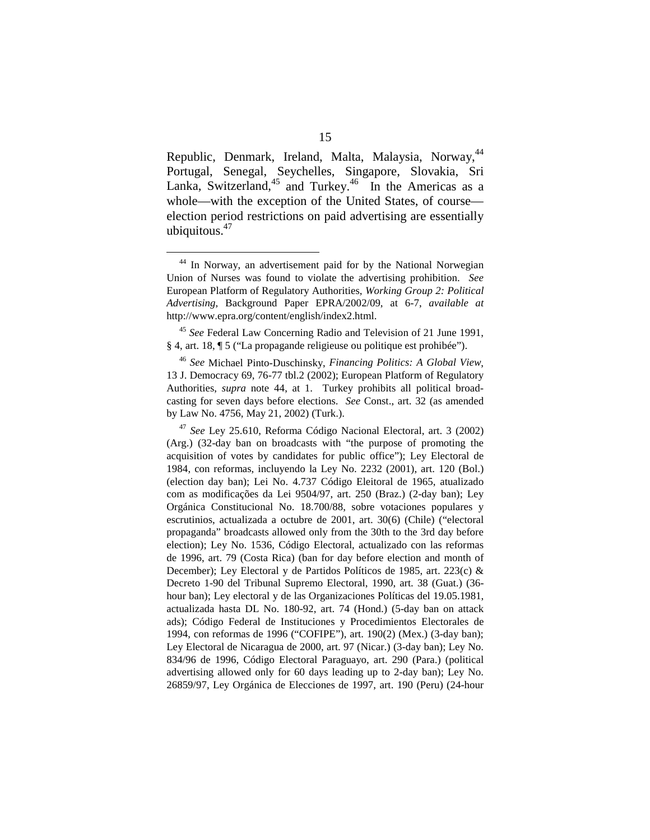Republic, Denmark, Ireland, Malta, Malaysia, Norway, 44 Portugal, Senegal, Seychelles, Singapore, Slovakia, Sri Lanka, Switzerland, $45$  and Turkey. $46$  In the Americas as a whole—with the exception of the United States, of course election period restrictions on paid advertising are essentially ubiquitous. $47$ 

<sup>&</sup>lt;sup>44</sup> In Norway, an advertisement paid for by the National Norwegian Union of Nurses was found to violate the advertising prohibition. *See*  European Platform of Regulatory Authorities, *Working Group 2: Political Advertising,* Background Paper EPRA/2002/09, at 6-7, *available at*  http://www.epra.org/content/english/index2.html.

<sup>45</sup>*See* Federal Law Concerning Radio and Television of 21 June 1991, § 4, art. 18, ¶ 5 ("La propagande religieuse ou politique est prohibée").

<sup>46</sup> *See* Michael Pinto-Duschinsky, *Financing Politics: A Global View*, 13 J. Democracy 69, 76-77 tbl.2 (2002); European Platform of Regulatory Authorities, *supra* note 44, at 1. Turkey prohibits all political broadcasting for seven days before elections. *See* Const., art. 32 (as amended by Law No. 4756, May 21, 2002) (Turk.).

<sup>47</sup>*See* Ley 25.610, Reforma Código Nacional Electoral, art. 3 (2002) (Arg.) (32-day ban on broadcasts with "the purpose of promoting the acquisition of votes by candidates for public office"); Ley Electoral de 1984, con reformas, incluyendo la Ley No. 2232 (2001), art. 120 (Bol.) (election day ban); Lei No. 4.737 Código Eleitoral de 1965, atualizado com as modificações da Lei 9504/97, art. 250 (Braz.) (2-day ban); Ley Orgánica Constitucional No. 18.700/88, sobre votaciones populares y escrutinios, actualizada a octubre de 2001, art. 30(6) (Chile) ("electoral propaganda" broadcasts allowed only from the 30th to the 3rd day before election); Ley No. 1536, Código Electoral, actualizado con las reformas de 1996, art. 79 (Costa Rica) (ban for day before election and month of December); Ley Electoral y de Partidos Políticos de 1985, art. 223(c) & Decreto 1-90 del Tribunal Supremo Electoral, 1990, art. 38 (Guat.) (36 hour ban); Ley electoral y de las Organizaciones Políticas del 19.05.1981, actualizada hasta DL No. 180-92, art. 74 (Hond.) (5-day ban on attack ads); Código Federal de Instituciones y Procedimientos Electorales de 1994, con reformas de 1996 ("COFIPE"), art. 190(2) (Mex.) (3-day ban); Ley Electoral de Nicaragua de 2000, art. 97 (Nicar.) (3-day ban); Ley No. 834/96 de 1996, Código Electoral Paraguayo, art. 290 (Para.) (political advertising allowed only for 60 days leading up to 2-day ban); Ley No. 26859/97, Ley Orgánica de Elecciones de 1997, art. 190 (Peru) (24-hour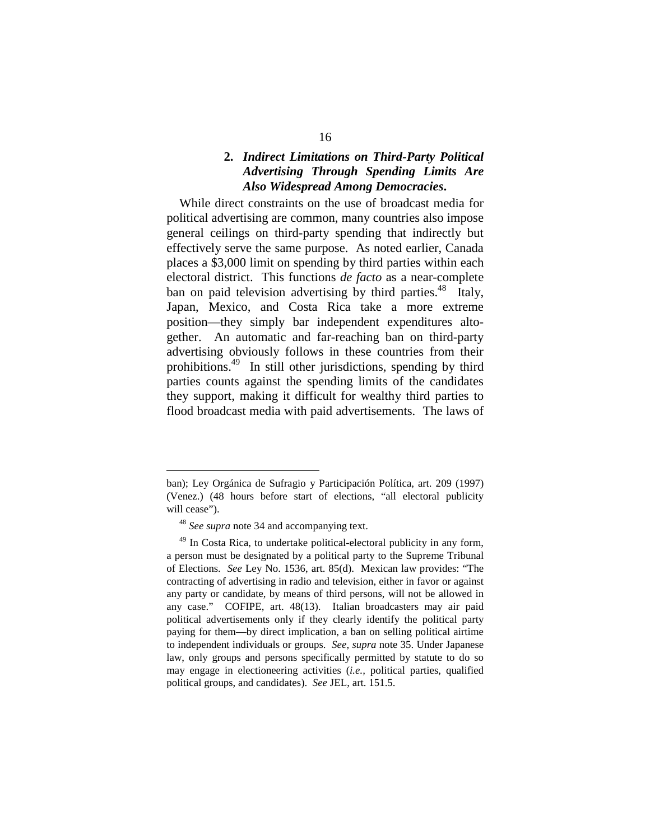#### **2.**  *Indirect Limitations on Third-Party Political Advertising Through Spending Limits Are Also Widespread Among Democracies***.**

While direct constraints on the use of broadcast media for political advertising are common, many countries also impose general ceilings on third-party spending that indirectly but effectively serve the same purpose. As noted earlier, Canada places a \$3,000 limit on spending by third parties within each electoral district. This functions *de facto* as a near-complete ban on paid television advertising by third parties.<sup>48</sup> Italy, Japan, Mexico, and Costa Rica take a more extreme position—they simply bar independent expenditures altogether. An automatic and far-reaching ban on third-party advertising obviously follows in these countries from their prohibitions.49 In still other jurisdictions, spending by third parties counts against the spending limits of the candidates they support, making it difficult for wealthy third parties to flood broadcast media with paid advertisements. The laws of

ban); Ley Orgánica de Sufragio y Participación Política, art. 209 (1997) (Venez.) (48 hours before start of elections, "all electoral publicity will cease").

<sup>48</sup>*See supra* note 34 and accompanying text.

 $49$  In Costa Rica, to undertake political-electoral publicity in any form, a person must be designated by a political party to the Supreme Tribunal of Elections. *See* Ley No. 1536, art. 85(d). Mexican law provides: "The contracting of advertising in radio and television, either in favor or against any party or candidate, by means of third persons, will not be allowed in any case." COFIPE, art. 48(13). Italian broadcasters may air paid political advertisements only if they clearly identify the political party paying for them—by direct implication, a ban on selling political airtime to independent individuals or groups. *See*, *supra* note 35. Under Japanese law, only groups and persons specifically permitted by statute to do so may engage in electioneering activities (*i.e.,* political parties, qualified political groups, and candidates). *See* JEL, art. 151.5.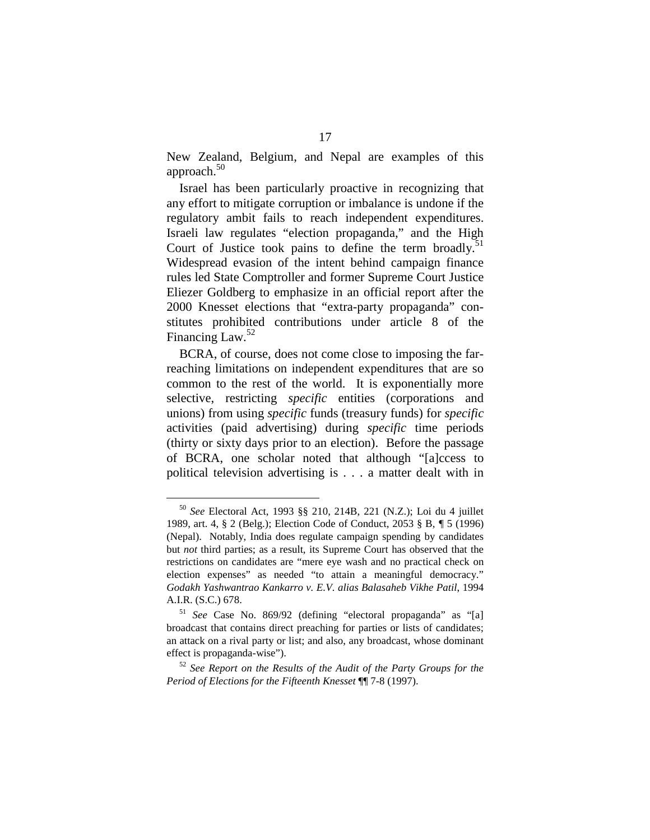New Zealand, Belgium, and Nepal are examples of this approach. $50$ 

Israel has been particularly proactive in recognizing that any effort to mitigate corruption or imbalance is undone if the regulatory ambit fails to reach independent expenditures. Israeli law regulates "election propaganda," and the High Court of Justice took pains to define the term broadly. 51 Widespread evasion of the intent behind campaign finance rules led State Comptroller and former Supreme Court Justice Eliezer Goldberg to emphasize in an official report after the 2000 Knesset elections that "extra-party propaganda" constitutes prohibited contributions under article 8 of the Financing Law.<sup>52</sup>

BCRA, of course, does not come close to imposing the farreaching limitations on independent expenditures that are so common to the rest of the world. It is exponentially more selective, restricting *specific* entities (corporations and unions) from using *specific* funds (treasury funds) for *specific*  activities (paid advertising) during *specific* time periods (thirty or sixty days prior to an election). Before the passage of BCRA, one scholar noted that although "[a]ccess to political television advertising is . . . a matter dealt with in

<sup>50</sup>*See* Electoral Act, 1993 §§ 210, 214B, 221 (N.Z.); Loi du 4 juillet 1989, art. 4, § 2 (Belg.); Election Code of Conduct, 2053 § B, *¶* 5 (1996) (Nepal). Notably, India does regulate campaign spending by candidates but *not* third parties; as a result, its Supreme Court has observed that the restrictions on candidates are "mere eye wash and no practical check on election expenses" as needed "to attain a meaningful democracy." *Godakh Yashwantrao Kankarro v. E.V. alias Balasaheb Vikhe Patil*, 1994 A.I.R. (S.C.) 678. 51 *See* Case No. 869/92 (defining "electoral propaganda" as "[a]

broadcast that contains direct preaching for parties or lists of candidates; an attack on a rival party or list; and also, any broadcast, whose dominant effect is propaganda-wise"). 52 *See Report on the Results of the Audit of the Party Groups for the* 

*Period of Elections for the Fifteenth Knesset* ¶¶ 7-8 (1997).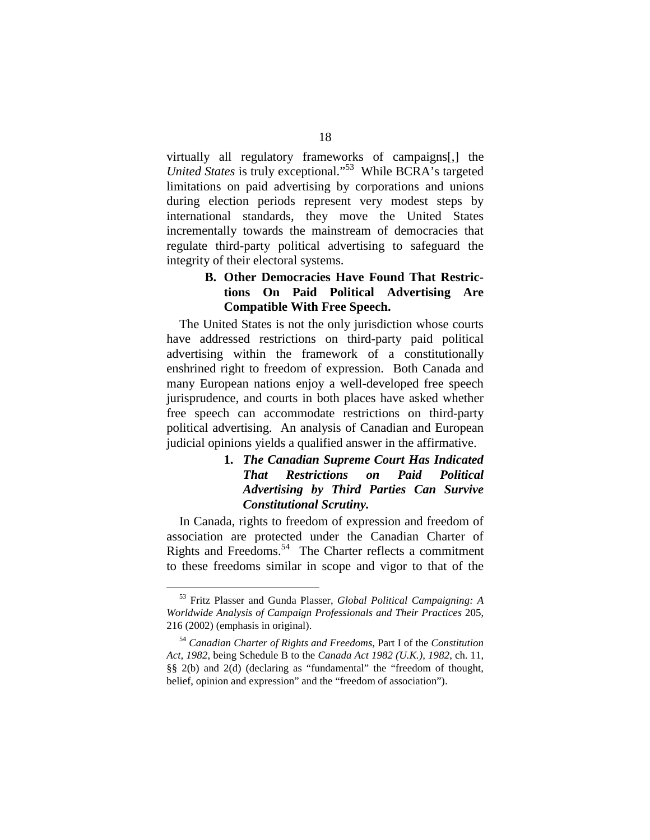virtually all regulatory frameworks of campaigns[,] the *United States* is truly exceptional."<sup>53</sup> While BCRA's targeted limitations on paid advertising by corporations and unions during election periods represent very modest steps by international standards, they move the United States incrementally towards the mainstream of democracies that regulate third-party political advertising to safeguard the integrity of their electoral systems.

#### **B. Other Democracies Have Found That Restrictions On Paid Political Advertising Are Compatible With Free Speech.**

The United States is not the only jurisdiction whose courts have addressed restrictions on third-party paid political advertising within the framework of a constitutionally enshrined right to freedom of expression. Both Canada and many European nations enjoy a well-developed free speech jurisprudence, and courts in both places have asked whether free speech can accommodate restrictions on third-party political advertising. An analysis of Canadian and European judicial opinions yields a qualified answer in the affirmative.

#### **1.**  *The Canadian Supreme Court Has Indicated That Restrictions on Paid Political Advertising by Third Parties Can Survive Constitutional Scrutiny.*

In Canada, rights to freedom of expression and freedom of association are protected under the Canadian Charter of Rights and Freedoms.<sup>54</sup> The Charter reflects a commitment to these freedoms similar in scope and vigor to that of the

<sup>53</sup> Fritz Plasser and Gunda Plasser, *Global Political Campaigning: A Worldwide Analysis of Campaign Professionals and Their Practices* 205, 216 (2002) (emphasis in original).

<sup>54</sup>*Canadian Charter of Rights and Freedoms*, Part I of the *Constitution Act, 1982*, being Schedule B to the *Canada Act 1982 (U.K.), 1982*, ch. 11, §§ 2(b) and 2(d) (declaring as "fundamental" the "freedom of thought, belief, opinion and expression" and the "freedom of association").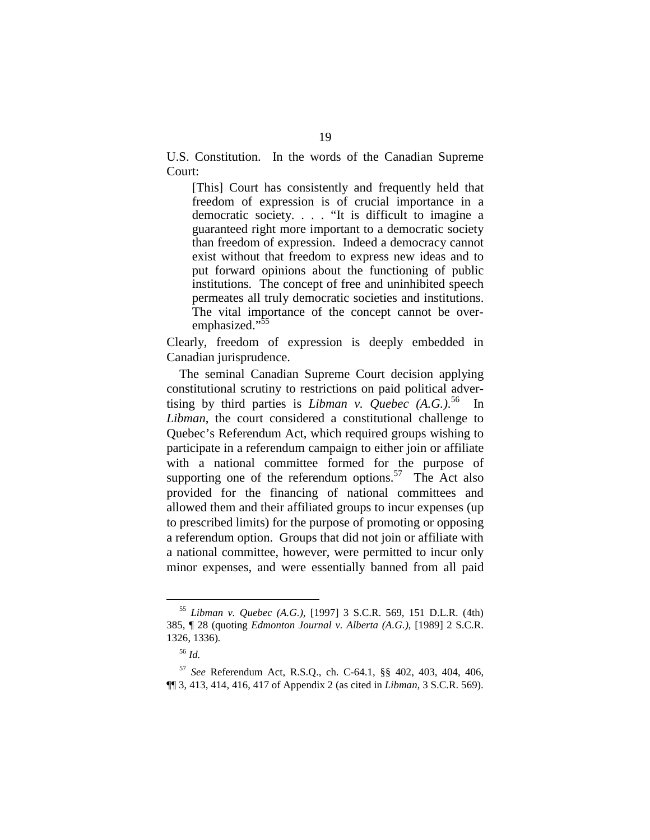U.S. Constitution. In the words of the Canadian Supreme Court:

[This] Court has consistently and frequently held that freedom of expression is of crucial importance in a democratic society. . . . "It is difficult to imagine a guaranteed right more important to a democratic society than freedom of expression. Indeed a democracy cannot exist without that freedom to express new ideas and to put forward opinions about the functioning of public institutions. The concept of free and uninhibited speech permeates all truly democratic societies and institutions. The vital importance of the concept cannot be overemphasized."<sup>55</sup>

Clearly, freedom of expression is deeply embedded in Canadian jurisprudence.

The seminal Canadian Supreme Court decision applying constitutional scrutiny to restrictions on paid political advertising by third parties is *Libman v. Quebec (A.G.)*. 56 In *Libman*, the court considered a constitutional challenge to Quebec's Referendum Act, which required groups wishing to participate in a referendum campaign to either join or affiliate with a national committee formed for the purpose of supporting one of the referendum options.<sup>57</sup> The Act also provided for the financing of national committees and allowed them and their affiliated groups to incur expenses (up to prescribed limits) for the purpose of promoting or opposing a referendum option. Groups that did not join or affiliate with a national committee, however, were permitted to incur only minor expenses, and were essentially banned from all paid

<sup>55</sup>*Libman v. Quebec (A.G.)*, [1997] 3 S.C.R. 569, 151 D.L.R. (4th) 385, ¶ 28 (quoting *Edmonton Journal v. Alberta (A.G.)*, [1989] 2 S.C.R. 1326, 1336)*.* 

<sup>56</sup>*Id.* 

<sup>57</sup>*See* Referendum Act, R.S.Q., ch. C-64.1, §§ 402, 403, 404, 406, ¶¶ 3, 413, 414, 416, 417 of Appendix 2 (as cited in *Libman*, 3 S.C.R. 569).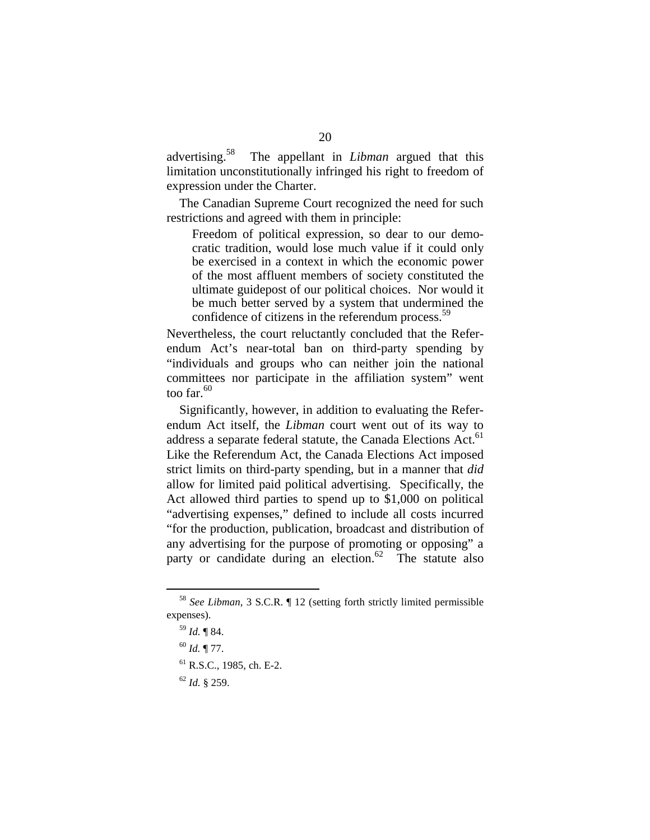advertising.<sup>58</sup> 58 The appellant in *Libman* argued that this limitation unconstitutionally infringed his right to freedom of expression under the Charter.

The Canadian Supreme Court recognized the need for such restrictions and agreed with them in principle:

Freedom of political expression, so dear to our democratic tradition, would lose much value if it could only be exercised in a context in which the economic power of the most affluent members of society constituted the ultimate guidepost of our political choices. Nor would it be much better served by a system that undermined the confidence of citizens in the referendum process.<sup>59</sup>

Nevertheless, the court reluctantly concluded that the Referendum Act's near-total ban on third-party spending by "individuals and groups who can neither join the national committees nor participate in the affiliation system" went too far. $60$ 

Significantly, however, in addition to evaluating the Referendum Act itself, the *Libman* court went out of its way to address a separate federal statute, the Canada Elections Act.<sup>61</sup> Like the Referendum Act, the Canada Elections Act imposed strict limits on third-party spending, but in a manner that *did*  allow for limited paid political advertising. Specifically, the Act allowed third parties to spend up to \$1,000 on political "advertising expenses," defined to include all costs incurred "for the production, publication, broadcast and distribution of any advertising for the purpose of promoting or opposing" a party or candidate during an election.<sup>62</sup> The statute also

<sup>58</sup>*See Libman*, 3 S.C.R. ¶ 12 (setting forth strictly limited permissible expenses).

<sup>59</sup>*Id.* ¶ 84.

<sup>60</sup>*Id.* ¶ 77.

<sup>61</sup> R.S.C., 1985, ch. E-2.

<sup>62</sup>*Id.* § 259.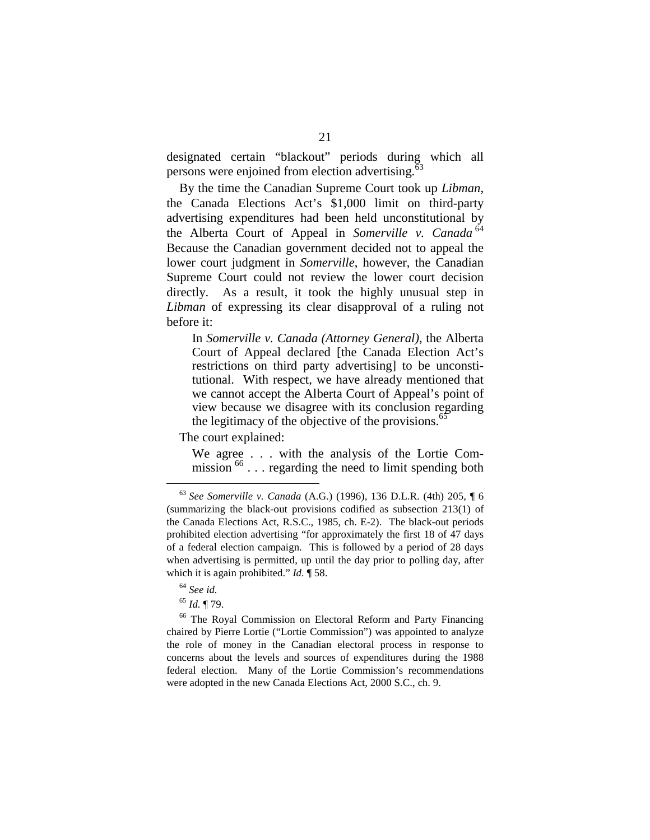designated certain "blackout" periods during which all persons were enjoined from election advertising.<sup>63</sup>

By the time the Canadian Supreme Court took up *Libman*, the Canada Elections Act's \$1,000 limit on third-party advertising expenditures had been held unconstitutional by the Alberta Court of Appeal in *Somerville v. Canada* <sup>64</sup> Because the Canadian government decided not to appeal the lower court judgment in *Somerville*, however, the Canadian Supreme Court could not review the lower court decision directly. As a result, it took the highly unusual step in *Libman* of expressing its clear disapproval of a ruling not before it:

In *Somerville v. Canada (Attorney General)*, the Alberta Court of Appeal declared [the Canada Election Act's restrictions on third party advertising] to be unconstitutional. With respect, we have already mentioned that we cannot accept the Alberta Court of Appeal's point of view because we disagree with its conclusion regarding the legitimacy of the objective of the provisions.<sup>65</sup>

The court explained:

We agree . . . with the analysis of the Lortie Commission  $^{66}$ ... regarding the need to limit spending both

<sup>65</sup> *Id.* ¶ 79.<br><sup>66</sup> The Royal Commission on Electoral Reform and Party Financing chaired by Pierre Lortie ("Lortie Commission") was appointed to analyze the role of money in the Canadian electoral process in response to concerns about the levels and sources of expenditures during the 1988 federal election. Many of the Lortie Commission's recommendations were adopted in the new Canada Elections Act, 2000 S.C., ch. 9.

<sup>63</sup>*See Somerville v. Canada* (A.G.) (1996), 136 D.L.R. (4th) 205, ¶ 6 (summarizing the black-out provisions codified as subsection 213(1) of the Canada Elections Act, R.S.C., 1985, ch. E-2). The black-out periods prohibited election advertising "for approximately the first 18 of 47 days of a federal election campaign. This is followed by a period of 28 days when advertising is permitted, up until the day prior to polling day, after which it is again prohibited." *Id.* ¶ 58.

<sup>64</sup> *See id.*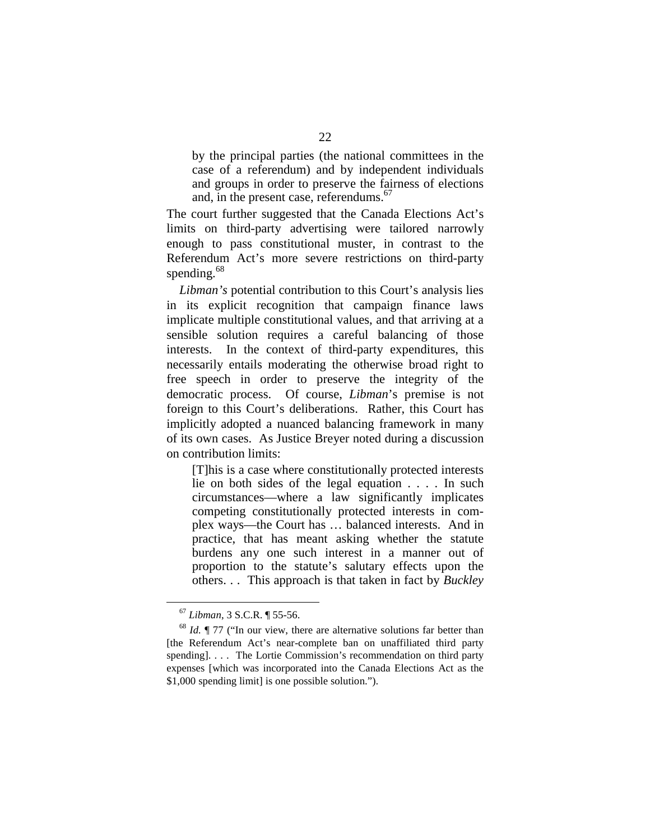by the principal parties (the national committees in the case of a referendum) and by independent individuals and groups in order to preserve the fairness of elections and, in the present case, referendums.<sup>67</sup>

The court further suggested that the Canada Elections Act's limits on third-party advertising were tailored narrowly enough to pass constitutional muster, in contrast to the Referendum Act's more severe restrictions on third-party spending.<sup>68</sup>

*Libman's* potential contribution to this Court's analysis lies in its explicit recognition that campaign finance laws implicate multiple constitutional values, and that arriving at a sensible solution requires a careful balancing of those interests. In the context of third-party expenditures, this necessarily entails moderating the otherwise broad right to free speech in order to preserve the integrity of the democratic process. Of course, *Libman*'s premise is not foreign to this Court's deliberations. Rather, this Court has implicitly adopted a nuanced balancing framework in many of its own cases. As Justice Breyer noted during a discussion on contribution limits:

[T]his is a case where constitutionally protected interests lie on both sides of the legal equation . . . . In such circumstances—where a law significantly implicates competing constitutionally protected interests in complex ways—the Court has … balanced interests. And in practice, that has meant asking whether the statute burdens any one such interest in a manner out of proportion to the statute's salutary effects upon the others. . . This approach is that taken in fact by *Buckley* 

<sup>&</sup>lt;sup>67</sup> Libman, 3 S.C.R.  $\parallel$  55-56.<br><sup>68</sup> *Id.*  $\parallel$  77 ("In our view, there are alternative solutions far better than [the Referendum Act's near-complete ban on unaffiliated third party spending]. . . . The Lortie Commission's recommendation on third party expenses [which was incorporated into the Canada Elections Act as the \$1,000 spending limit] is one possible solution.").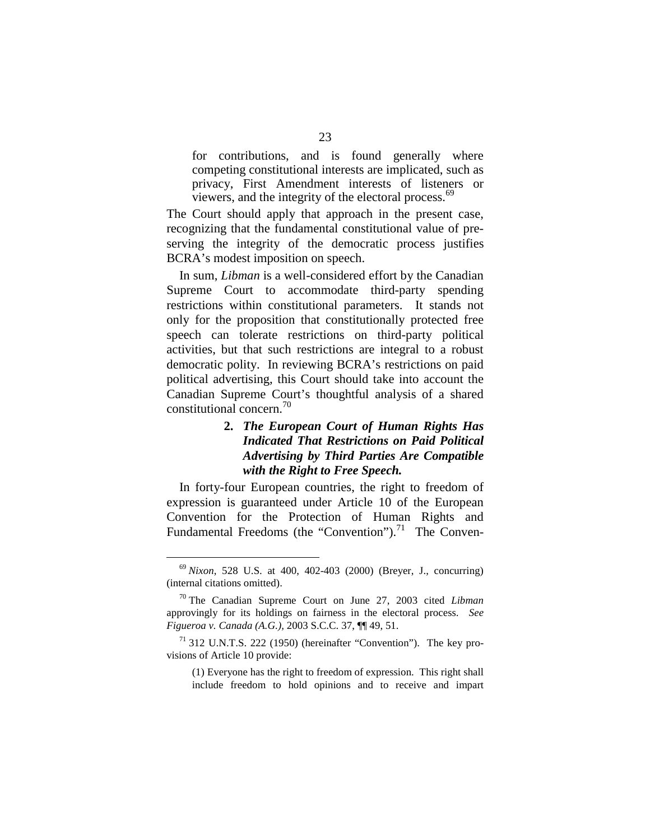for contributions, and is found generally where competing constitutional interests are implicated, such as privacy, First Amendment interests of listeners or viewers, and the integrity of the electoral process.<sup>69</sup>

The Court should apply that approach in the present case, recognizing that the fundamental constitutional value of preserving the integrity of the democratic process justifies BCRA's modest imposition on speech.

In sum, *Libman* is a well-considered effort by the Canadian Supreme Court to accommodate third-party spending restrictions within constitutional parameters. It stands not only for the proposition that constitutionally protected free speech can tolerate restrictions on third-party political activities, but that such restrictions are integral to a robust democratic polity. In reviewing BCRA's restrictions on paid political advertising, this Court should take into account the Canadian Supreme Court's thoughtful analysis of a shared constitutional concern.<sup>70</sup>

#### **2.**  *The European Court of Human Rights Has Indicated That Restrictions on Paid Political Advertising by Third Parties Are Compatible with the Right to Free Speech.*

In forty-four European countries, the right to freedom of expression is guaranteed under Article 10 of the European Convention for the Protection of Human Rights and Fundamental Freedoms (the "Convention").<sup>71</sup> The Conven-

<sup>69</sup> *Nixon*, 528 U.S. at 400, 402-403 (2000) (Breyer, J., concurring) (internal citations omitted).

<sup>70</sup> The Canadian Supreme Court on June 27, 2003 cited *Libman*  approvingly for its holdings on fairness in the electoral process. *See Figueroa v. Canada (A.G.),* 2003 S.C.C. 37, ¶¶ 49, 51.

 $71$  312 U.N.T.S. 222 (1950) (hereinafter "Convention"). The key provisions of Article 10 provide:

<sup>(1)</sup> Everyone has the right to freedom of expression. This right shall include freedom to hold opinions and to receive and impart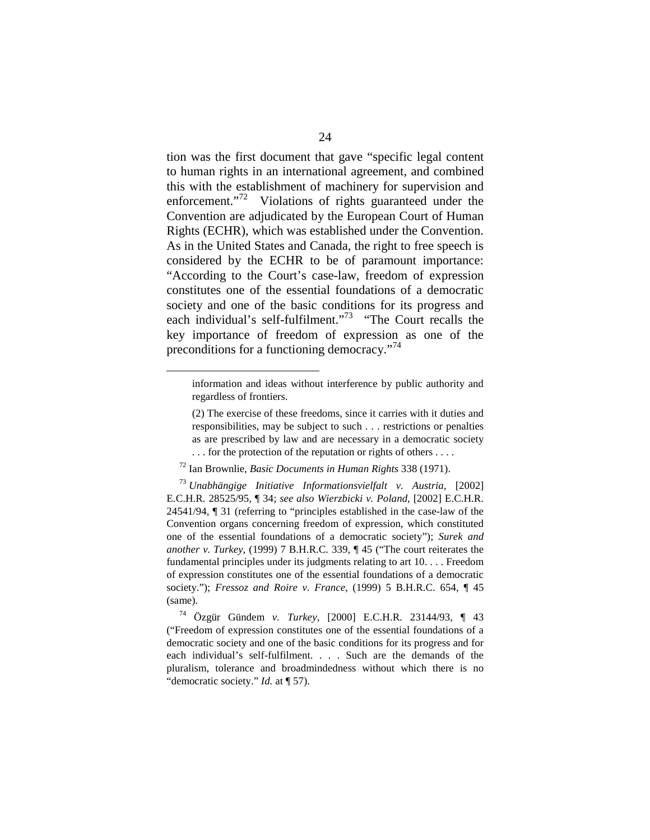tion was the first document that gave "specific legal content to human rights in an international agreement, and combined this with the establishment of machinery for supervision and enforcement."<sup>72</sup> Violations of rights guaranteed under the Convention are adjudicated by the European Court of Human Rights (ECHR), which was established under the Convention. As in the United States and Canada, the right to free speech is considered by the ECHR to be of paramount importance: "According to the Court's case-law, freedom of expression constitutes one of the essential foundations of a democratic society and one of the basic conditions for its progress and each individual's self-fulfilment."<sup>73</sup> "The Court recalls the key importance of freedom of expression as one of the preconditions for a functioning democracy."<sup>74</sup>

information and ideas without interference by public authority and regardless of frontiers.

<sup>(2)</sup> The exercise of these freedoms, since it carries with it duties and responsibilities, may be subject to such . . . restrictions or penalties as are prescribed by law and are necessary in a democratic society . . . for the protection of the reputation or rights of others . . . .

<sup>72</sup> Ian Brownlie, *Basic Documents in Human Rights* 338 (1971).

<sup>73</sup>*Unabhängige Initiative Informationsvielfalt v. Austria*, [2002] E.C.H.R. 28525/95, ¶ 34; *see also Wierzbicki v. Poland*, [2002] E.C.H.R. 24541/94, ¶ 31 (referring to "principles established in the case-law of the Convention organs concerning freedom of expression, which constituted one of the essential foundations of a democratic society"); *Surek and another v. Turkey*, (1999) 7 B.H.R.C. 339, ¶ 45 ("The court reiterates the fundamental principles under its judgments relating to art 10. . . . Freedom of expression constitutes one of the essential foundations of a democratic society."); *Fressoz and Roire v. France*, (1999) 5 B.H.R.C. 654, ¶ 45 (same).

<sup>74</sup> Özgür Gündem *v. Turkey*, [2000] E.C.H.R. 23144/93, ¶ 43 ("Freedom of expression constitutes one of the essential foundations of a democratic society and one of the basic conditions for its progress and for each individual's self-fulfilment. . . . Such are the demands of the pluralism, tolerance and broadmindedness without which there is no "democratic society." *Id.* at ¶ 57).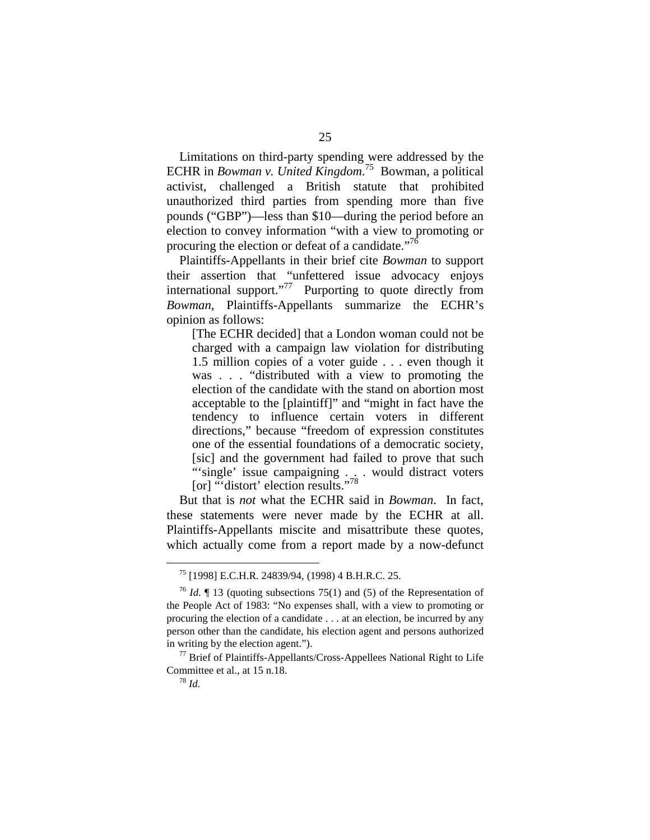Limitations on third-party spending were addressed by the ECHR in *Bowman v. United Kingdom*. 75 Bowman, a political activist, challenged a British statute that prohibited unauthorized third parties from spending more than five pounds ("GBP")—less than \$10—during the period before an election to convey information "with a view to promoting or procuring the election or defeat of a candidate."<sup>76</sup>

Plaintiffs-Appellants in their brief cite *Bowman* to support their assertion that "unfettered issue advocacy enjoys international support. $i^{77}$  Purporting to quote directly from *Bowman*, Plaintiffs-Appellants summarize the ECHR's opinion as follows:

[The ECHR decided] that a London woman could not be charged with a campaign law violation for distributing 1.5 million copies of a voter guide . . . even though it was . . . "distributed with a view to promoting the election of the candidate with the stand on abortion most acceptable to the [plaintiff]" and "might in fact have the tendency to influence certain voters in different directions," because "freedom of expression constitutes one of the essential foundations of a democratic society, [sic] and the government had failed to prove that such "'single' issue campaigning . . . would distract voters [or] "'distort' election results."<sup>78</sup>

But that is *not* what the ECHR said in *Bowman*. In fact, these statements were never made by the ECHR at all. Plaintiffs-Appellants miscite and misattribute these quotes, which actually come from a report made by a now-defunct

<sup>75 [1998]</sup> E.C.H.R. 24839/94, (1998) 4 B.H.R.C. 25.

<sup>76</sup>*Id.* ¶ 13 (quoting subsections 75(1) and (5) of the Representation of the People Act of 1983: "No expenses shall, with a view to promoting or procuring the election of a candidate . . . at an election, be incurred by any person other than the candidate, his election agent and persons authorized in writing by the election agent.").<br><sup>77</sup> Brief of Plaintiffs-Appellants/Cross-Appellees National Right to Life

Committee et al., at 15 n.18. 78 *Id.*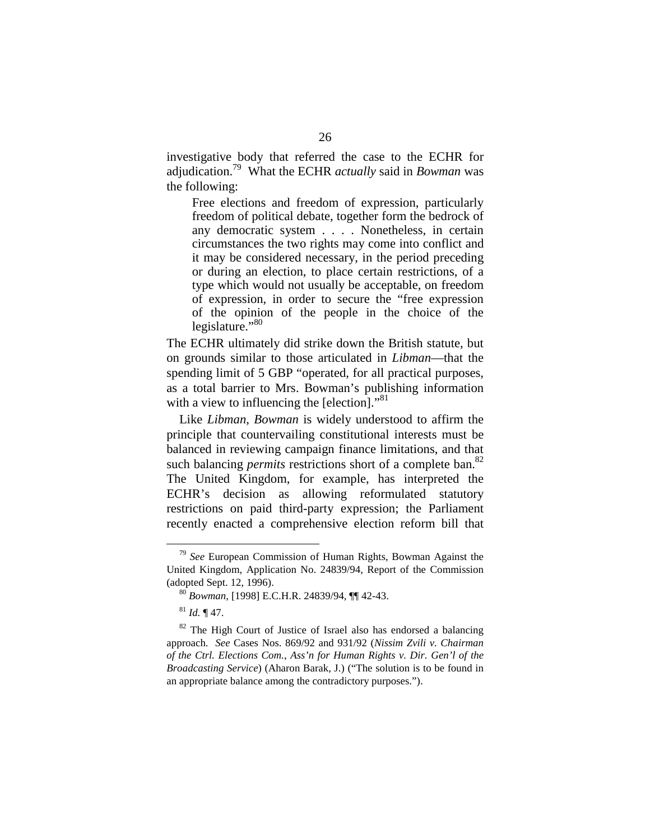investigative body that referred the case to the ECHR for adjudication.79 What the ECHR *actually* said in *Bowman* was the following:

Free elections and freedom of expression, particularly freedom of political debate, together form the bedrock of any democratic system . . . . Nonetheless, in certain circumstances the two rights may come into conflict and it may be considered necessary, in the period preceding or during an election, to place certain restrictions, of a type which would not usually be acceptable, on freedom of expression, in order to secure the "free expression of the opinion of the people in the choice of the legislature." $80$ 

The ECHR ultimately did strike down the British statute, but on grounds similar to those articulated in *Libman*—that the spending limit of 5 GBP "operated, for all practical purposes, as a total barrier to Mrs. Bowman's publishing information with a view to influencing the [election]."<sup>81</sup>

Like *Libman*, *Bowman* is widely understood to affirm the principle that countervailing constitutional interests must be balanced in reviewing campaign finance limitations, and that such balancing *permits* restrictions short of a complete ban. 82 The United Kingdom, for example, has interpreted the ECHR's decision as allowing reformulated statutory restrictions on paid third-party expression; the Parliament recently enacted a comprehensive election reform bill that

<sup>79</sup>*See* European Commission of Human Rights, Bowman Against the United Kingdom, Application No. 24839/94, Report of the Commission

<sup>&</sup>lt;sup>80</sup> Bowman, [1998] E.C.H.R. 24839/94, ¶¶ 42-43.

 $81$ *Id.*  $\P$  47.

 $82$  The High Court of Justice of Israel also has endorsed a balancing approach. *See* Cases Nos. 869/92 and 931/92 (*Nissim Zvili v. Chairman of the Ctrl. Elections Com.*, *Ass'n for Human Rights v. Dir. Gen'l of the Broadcasting Service*) (Aharon Barak, J.) ("The solution is to be found in an appropriate balance among the contradictory purposes.").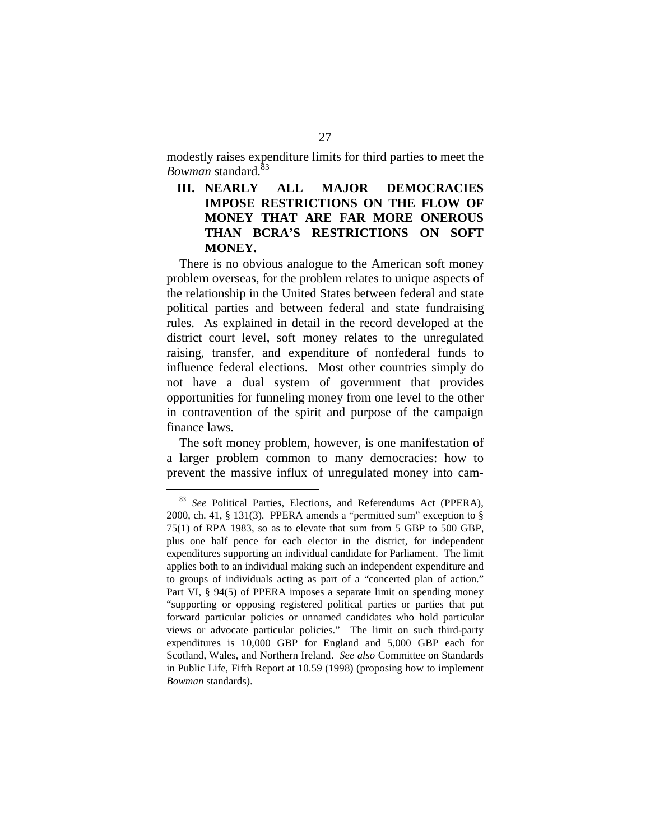modestly raises expenditure limits for third parties to meet the *Bowman* standard.<sup>83</sup>

### **III. NEARLY ALL MAJOR DEMOCRACIES IMPOSE RESTRICTIONS ON THE FLOW OF MONEY THAT ARE FAR MORE ONEROUS THAN BCRA'S RESTRICTIONS ON SOFT MONEY.**

There is no obvious analogue to the American soft money problem overseas, for the problem relates to unique aspects of the relationship in the United States between federal and state political parties and between federal and state fundraising rules. As explained in detail in the record developed at the district court level, soft money relates to the unregulated raising, transfer, and expenditure of nonfederal funds to influence federal elections. Most other countries simply do not have a dual system of government that provides opportunities for funneling money from one level to the other in contravention of the spirit and purpose of the campaign finance laws.

The soft money problem, however, is one manifestation of a larger problem common to many democracies: how to prevent the massive influx of unregulated money into cam-

<sup>83</sup>*See* Political Parties, Elections, and Referendums Act (PPERA), 2000, ch. 41, § 131(3). PPERA amends a "permitted sum" exception to § 75(1) of RPA 1983, so as to elevate that sum from 5 GBP to 500 GBP, plus one half pence for each elector in the district, for independent expenditures supporting an individual candidate for Parliament. The limit applies both to an individual making such an independent expenditure and to groups of individuals acting as part of a "concerted plan of action." Part VI, § 94(5) of PPERA imposes a separate limit on spending money "supporting or opposing registered political parties or parties that put forward particular policies or unnamed candidates who hold particular views or advocate particular policies." The limit on such third-party expenditures is 10,000 GBP for England and 5,000 GBP each for Scotland, Wales, and Northern Ireland. *See also* Committee on Standards in Public Life, Fifth Report at 10.59 (1998) (proposing how to implement *Bowman* standards).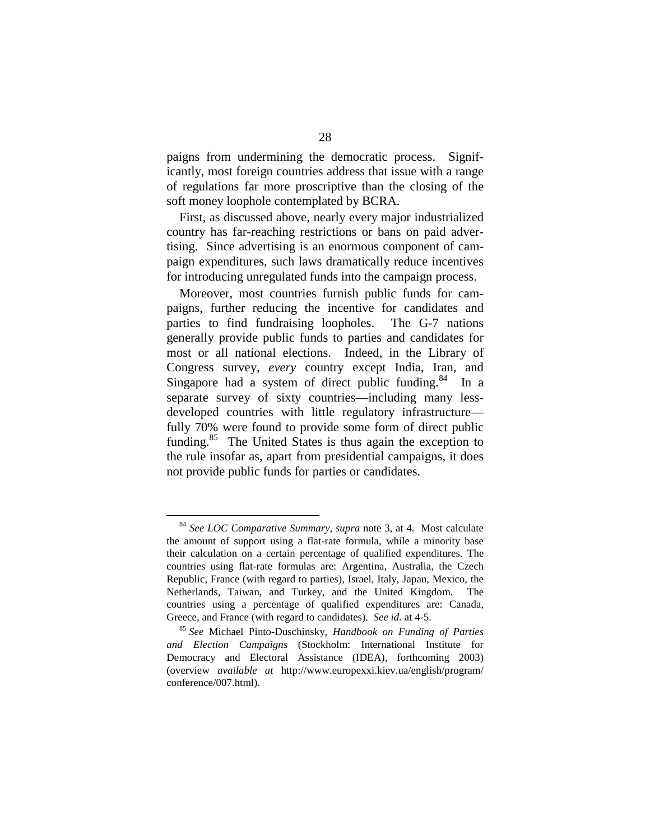paigns from undermining the democratic process. Significantly, most foreign countries address that issue with a range of regulations far more proscriptive than the closing of the soft money loophole contemplated by BCRA.

First, as discussed above, nearly every major industrialized country has far-reaching restrictions or bans on paid advertising. Since advertising is an enormous component of campaign expenditures, such laws dramatically reduce incentives for introducing unregulated funds into the campaign process.

Moreover, most countries furnish public funds for campaigns, further reducing the incentive for candidates and parties to find fundraising loopholes. The G-7 nations generally provide public funds to parties and candidates for most or all national elections. Indeed, in the Library of Congress survey, *every* country except India, Iran, and Singapore had a system of direct public funding.<sup>84</sup> In a separate survey of sixty countries—including many lessdeveloped countries with little regulatory infrastructure fully 70% were found to provide some form of direct public funding.<sup>85</sup> The United States is thus again the exception to the rule insofar as, apart from presidential campaigns, it does not provide public funds for parties or candidates.

<sup>84</sup>*See LOC Comparative Summary*, *supra* note 3, at 4. Most calculate the amount of support using a flat-rate formula, while a minority base their calculation on a certain percentage of qualified expenditures. The countries using flat-rate formulas are: Argentina, Australia, the Czech Republic, France (with regard to parties), Israel, Italy, Japan, Mexico, the Netherlands, Taiwan, and Turkey, and the United Kingdom. The countries using a percentage of qualified expenditures are: Canada, Greece, and France (with regard to candidates). *See id.* at 4-5.<br><sup>85</sup> *See* Michael Pinto-Duschinsky, *Handbook on Funding of Parties* 

*and Election Campaigns* (Stockholm: International Institute for Democracy and Electoral Assistance (IDEA), forthcoming 2003) (overview *available at* http://www.europexxi.kiev.ua/english/program/ conference/007.html).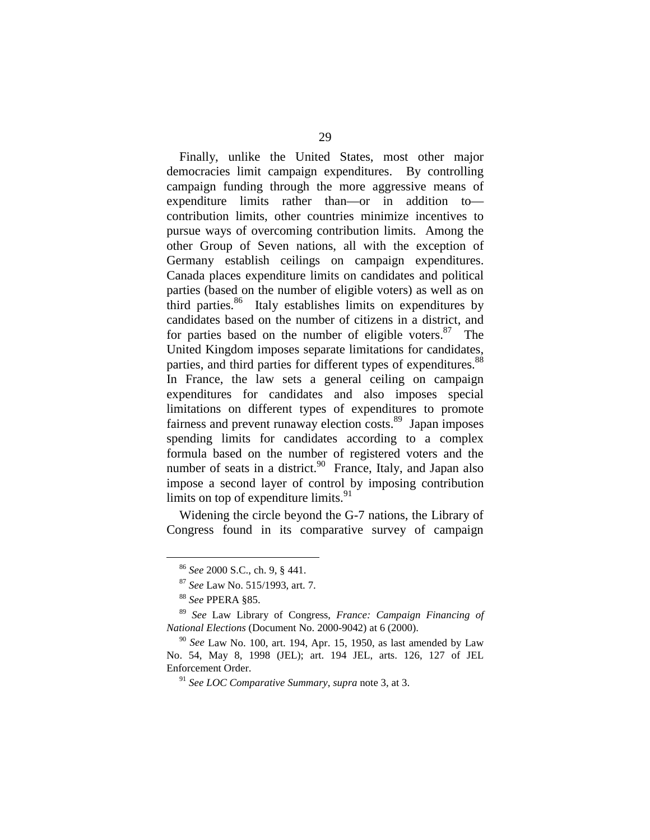Finally, unlike the United States, most other major democracies limit campaign expenditures. By controlling campaign funding through the more aggressive means of expenditure limits rather than—or in addition to contribution limits, other countries minimize incentives to pursue ways of overcoming contribution limits. Among the other Group of Seven nations, all with the exception of Germany establish ceilings on campaign expenditures. Canada places expenditure limits on candidates and political parties (based on the number of eligible voters) as well as on third parties. $86$  Italy establishes limits on expenditures by candidates based on the number of citizens in a district, and for parties based on the number of eligible voters.<sup>87</sup> The United Kingdom imposes separate limitations for candidates, parties, and third parties for different types of expenditures. 88 In France, the law sets a general ceiling on campaign expenditures for candidates and also imposes special limitations on different types of expenditures to promote fairness and prevent runaway election costs.<sup>89</sup> Japan imposes spending limits for candidates according to a complex formula based on the number of registered voters and the number of seats in a district. $90$  France, Italy, and Japan also impose a second layer of control by imposing contribution limits on top of expenditure limits. $91$ 

Widening the circle beyond the G-7 nations, the Library of Congress found in its comparative survey of campaign

<sup>86</sup>*See* 2000 S.C., ch. 9, § 441. 87 *See* Law No. 515/1993, art. 7. 88 *See* PPERA §85.

<sup>89</sup>*See* Law Library of Congress, *France: Campaign Financing of National Elections* (Document No. 2000-9042) at 6 (2000).

<sup>90</sup>*See* Law No. 100, art. 194, Apr. 15, 1950, as last amended by Law No. 54, May 8, 1998 (JEL); art. 194 JEL, arts. 126, 127 of JEL Enforcement Order.

<sup>91</sup>*See LOC Comparative Summary*, *supra* note 3, at 3.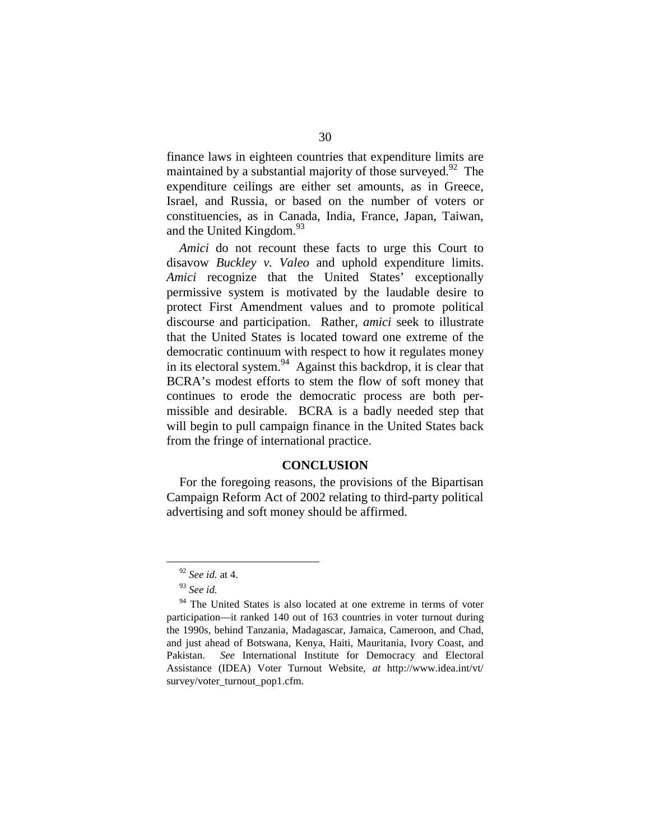finance laws in eighteen countries that expenditure limits are maintained by a substantial majority of those surveyed.<sup>92</sup> The expenditure ceilings are either set amounts, as in Greece, Israel, and Russia, or based on the number of voters or constituencies, as in Canada, India, France, Japan, Taiwan, and the United Kingdom.<sup>93</sup>

*Amici* do not recount these facts to urge this Court to disavow *Buckley v. Valeo* and uphold expenditure limits. *Amici* recognize that the United States' exceptionally permissive system is motivated by the laudable desire to protect First Amendment values and to promote political discourse and participation. Rather, *amici* seek to illustrate that the United States is located toward one extreme of the democratic continuum with respect to how it regulates money in its electoral system.<sup>94</sup> Against this backdrop, it is clear that BCRA's modest efforts to stem the flow of soft money that continues to erode the democratic process are both permissible and desirable. BCRA is a badly needed step that will begin to pull campaign finance in the United States back from the fringe of international practice.

#### **CONCLUSION**

For the foregoing reasons, the provisions of the Bipartisan Campaign Reform Act of 2002 relating to third-party political advertising and soft money should be affirmed.

<sup>92</sup>*See id.* at 4.

<sup>93</sup>*See id.* 

<sup>&</sup>lt;sup>94</sup> The United States is also located at one extreme in terms of voter participation—it ranked 140 out of 163 countries in voter turnout during the 1990s, behind Tanzania, Madagascar, Jamaica, Cameroon, and Chad, and just ahead of Botswana, Kenya, Haiti, Mauritania, Ivory Coast, and Pakistan. *See* International Institute for Democracy and Electoral Assistance (IDEA) Voter Turnout Website, *at* http://www.idea.int/vt/ survey/voter\_turnout\_pop1.cfm.